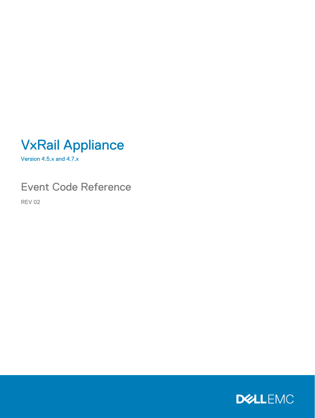# VxRail Appliance

Version 4.5.x and 4.7.x

## Event Code Reference

REV 02

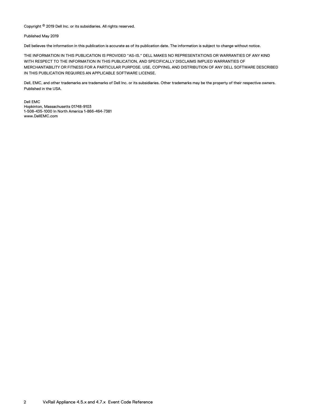Copyright © 2019 Dell Inc. or its subsidiaries. All rights reserved.

#### Published May 2019

Dell believes the information in this publication is accurate as of its publication date. The information is subject to change without notice.

THE INFORMATION IN THIS PUBLICATION IS PROVIDED "AS-IS." DELL MAKES NO REPRESENTATIONS OR WARRANTIES OF ANY KIND WITH RESPECT TO THE INFORMATION IN THIS PUBLICATION, AND SPECIFICALLY DISCLAIMS IMPLIED WARRANTIES OF MERCHANTABILITY OR FITNESS FOR A PARTICULAR PURPOSE. USE, COPYING, AND DISTRIBUTION OF ANY DELL SOFTWARE DESCRIBED IN THIS PUBLICATION REQUIRES AN APPLICABLE SOFTWARE LICENSE.

Dell, EMC, and other trademarks are trademarks of Dell Inc. or its subsidiaries. Other trademarks may be the property of their respective owners. Published in the USA.

Dell EMC Hopkinton, Massachusetts 01748-9103 1-508-435-1000 In North America 1-866-464-7381 www.DellEMC.com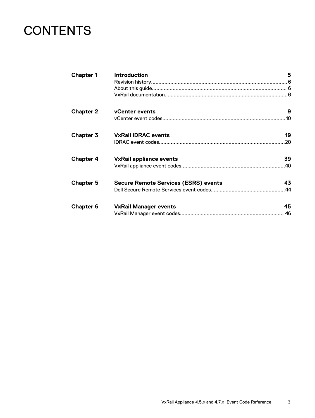# **CONTENTS**

| <b>Chapter 1</b> | <b>Introduction</b>                         |     |  |  |  |
|------------------|---------------------------------------------|-----|--|--|--|
|                  |                                             |     |  |  |  |
|                  |                                             |     |  |  |  |
|                  |                                             |     |  |  |  |
| <b>Chapter 2</b> | <b>vCenter events</b>                       | 9   |  |  |  |
|                  |                                             |     |  |  |  |
| <b>Chapter 3</b> | <b>VxRail iDRAC events</b>                  | 19  |  |  |  |
|                  |                                             | .20 |  |  |  |
| <b>Chapter 4</b> | <b>VxRail appliance events</b>              | 39  |  |  |  |
|                  |                                             |     |  |  |  |
| <b>Chapter 5</b> | <b>Secure Remote Services (ESRS) events</b> | 43  |  |  |  |
|                  |                                             |     |  |  |  |
| <b>Chapter 6</b> | <b>VxRail Manager events</b>                | 45  |  |  |  |
|                  |                                             |     |  |  |  |
|                  |                                             |     |  |  |  |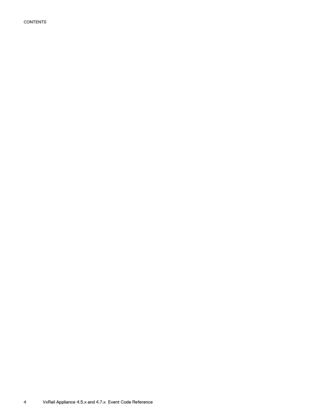#### CONTENTS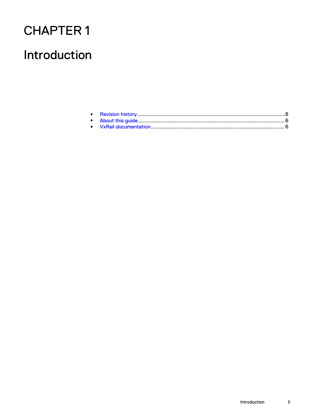# <span id="page-4-0"></span>**CHAPTER 1**

# Introduction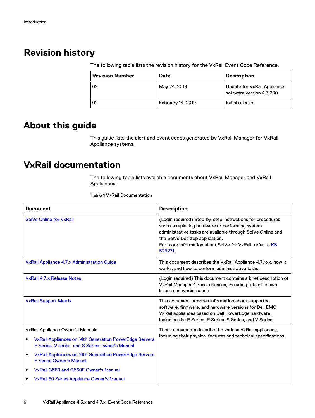## <span id="page-5-0"></span>**Revision history**

The following table lists the revision history for the VxRail Event Code Reference.

| <b>Revision Number</b> | Date                     | <b>Description</b>                                       |
|------------------------|--------------------------|----------------------------------------------------------|
| l 02                   | May 24, 2019             | Update for VxRail Appliance<br>software version 4.7.200. |
| 01                     | <b>February 14, 2019</b> | Initial release.                                         |

## **About this guide**

This guide lists the alert and event codes generated by VxRail Manager for VxRail Appliance systems.

## **VxRail documentation**

The following table lists available documents about VxRail Manager and VxRail Appliances.

Table 1 VxRail Documentation

| <b>Document</b>                                                                                                       | <b>Description</b>                                                                                                                                                                                                                                                                  |  |  |
|-----------------------------------------------------------------------------------------------------------------------|-------------------------------------------------------------------------------------------------------------------------------------------------------------------------------------------------------------------------------------------------------------------------------------|--|--|
| <b>SolVe Online for VxRail</b>                                                                                        | (Login required) Step-by-step instructions for procedures<br>such as replacing hardware or performing system<br>administrative tasks are available through SolVe Online and<br>the SolVe Desktop application.<br>For more information about SolVe for VxRail, refer to KB<br>525271 |  |  |
| <b>VxRail Appliance 4.7.x Administration Guide</b>                                                                    | This document describes the VxRail Appliance 4.7.xxx, how it<br>works, and how to perform administrative tasks.                                                                                                                                                                     |  |  |
| <b>VxRail 4.7.x Release Notes</b>                                                                                     | (Login required) This document contains a brief description of<br>VxRail Manager 4.7.xxx releases, including lists of known<br>issues and workarounds.                                                                                                                              |  |  |
| <b>VxRail Support Matrix</b>                                                                                          | This document provides information about supported<br>software, firmware, and hardware versions for Dell EMC<br>VxRail appliances based on Dell PowerEdge hardware,<br>including the E Series, P Series, S Series, and V Series.                                                    |  |  |
| VxRail Appliance Owner's Manuals                                                                                      | These documents describe the various VxRail appliances,                                                                                                                                                                                                                             |  |  |
| <b>VxRail Appliances on 14th Generation PowerEdge Servers</b><br>٠<br>P Series, V series, and S Series Owner's Manual | including their physical features and technical specifications.                                                                                                                                                                                                                     |  |  |
| <b>VxRail Appliances on 14th Generation PowerEdge Servers</b><br><b>E Series Owner's Manual</b>                       |                                                                                                                                                                                                                                                                                     |  |  |
| VxRail G560 and G560F Owner's Manual<br>$\bullet$                                                                     |                                                                                                                                                                                                                                                                                     |  |  |
| VxRail 60 Series Appliance Owner's Manual<br>٠                                                                        |                                                                                                                                                                                                                                                                                     |  |  |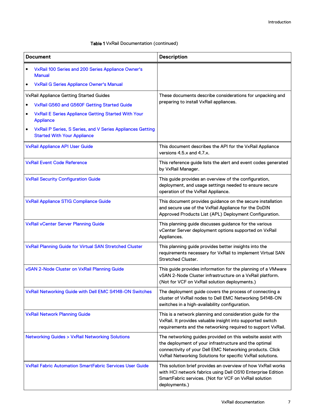#### Table 1 VxRail Documentation (continued)

| <b>Document</b>                                                                                                        | <b>Description</b>                                                                                                                                                                                                                            |
|------------------------------------------------------------------------------------------------------------------------|-----------------------------------------------------------------------------------------------------------------------------------------------------------------------------------------------------------------------------------------------|
| VxRail 100 Series and 200 Series Appliance Owner's<br><b>Manual</b><br><b>VxRail G Series Appliance Owner's Manual</b> |                                                                                                                                                                                                                                               |
| <b>VxRail Appliance Getting Started Guides</b>                                                                         | These documents describe considerations for unpacking and                                                                                                                                                                                     |
| VxRail G560 and G560F Getting Started Guide                                                                            | preparing to install VxRail appliances.                                                                                                                                                                                                       |
| <b>VxRail E Series Appliance Getting Started With Your</b><br><b>Appliance</b>                                         |                                                                                                                                                                                                                                               |
| VxRail P Series, S Series, and V Series Appliances Getting<br>٠<br><b>Started With Your Appliance</b>                  |                                                                                                                                                                                                                                               |
| <b>VxRail Appliance API User Guide</b>                                                                                 | This document describes the API for the VxRail Appliance<br>versions 4.5.x and 4.7.x.                                                                                                                                                         |
| <b>VxRail Event Code Reference</b>                                                                                     | This reference guide lists the alert and event codes generated<br>by VxRail Manager.                                                                                                                                                          |
| <b>VxRail Security Configuration Guide</b>                                                                             | This guide provides an overview of the configuration,<br>deployment, and usage settings needed to ensure secure<br>operation of the VxRail Appliance.                                                                                         |
| <b>VxRail Appliance STIG Compliance Guide</b>                                                                          | This document provides guidance on the secure installation<br>and secure use of the VxRail Appliance for the DoDIN<br>Approved Products List (APL) Deployment Configuration.                                                                  |
| <b>VxRail vCenter Server Planning Guide</b>                                                                            | This planning guide discusses guidance for the various<br>vCenter Server deployment options supported on VxRail<br>Appliances.                                                                                                                |
| <b>VxRail Planning Guide for Virtual SAN Stretched Cluster</b>                                                         | This planning guide provides better insights into the<br>requirements necessary for VxRail to implement Virtual SAN<br>Stretched Cluster.                                                                                                     |
| vSAN 2-Node Cluster on VxRail Planning Guide                                                                           | This guide provides information for the planning of a VMware<br>vSAN 2-Node Cluster infrastructure on a VxRail platform.<br>(Not for VCF on VxRail solution deployments.)                                                                     |
| <b>VxRail Networking Guide with Dell EMC S4148-ON Switches</b>                                                         | The deployment guide covers the process of connecting a<br>cluster of VxRail nodes to Dell EMC Networking S4148-ON<br>switches in a high-availability configuration.                                                                          |
| <b>VxRail Network Planning Guide</b>                                                                                   | This is a network planning and consideration guide for the<br>VxRail. It provides valuable insight into supported switch<br>requirements and the networking required to support VxRail.                                                       |
| <b>Networking Guides &gt; VxRail Networking Solutions</b>                                                              | The networking guides provided on this website assist with<br>the deployment of your infrastructure and the optimal<br>connectivity of your Dell EMC Networking products. Click<br>VxRail Networking Solutions for specific VxRail solutions. |
| <b>VxRail Fabric Automation SmartFabric Services User Guide</b>                                                        | This solution brief provides an overview of how VxRail works<br>with HCI network fabrics using Dell OS10 Enterprise Edition<br>SmartFabric services. (Not for VCF on VxRail solution<br>deployments.)                                         |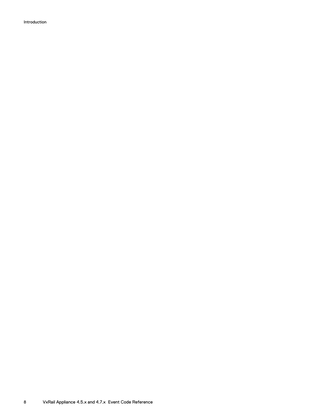Introduction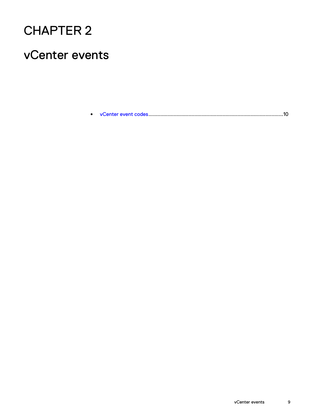## <span id="page-8-0"></span>CHAPTER 2

## vCenter events

<sup>l</sup> [vCenter event codes](#page-9-0)...........................................................................................10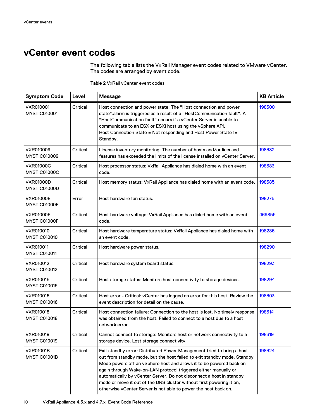## <span id="page-9-0"></span>**vCenter event codes**

The following table lists the VxRail Manager event codes related to VMware vCenter. The codes are arranged by event code.

Table 2 VxRail vCenter event codes

| <b>Symptom Code</b>                     | Level    | <b>Message</b>                                                                                                                                                                                                                                                                                                                                                                                                                                                                                                  | <b>KB Article</b> |
|-----------------------------------------|----------|-----------------------------------------------------------------------------------------------------------------------------------------------------------------------------------------------------------------------------------------------------------------------------------------------------------------------------------------------------------------------------------------------------------------------------------------------------------------------------------------------------------------|-------------------|
| <b>VXR010001</b><br>MYSTIC010001        | Critical | Host connection and power state: The "Host connection and power<br>state".alarm is triggered as a result of a "HostCommunication fault". A<br>"HostCommunication fault".occurs if a vCenter Server is unable to<br>communicate to an ESX or ESXi host using the vSphere API.<br>Host Connection State = Not responding and Host Power State !=<br>Standby.                                                                                                                                                      | 198300            |
| VXR010009<br>MYSTIC010009               | Critical | License inventory monitoring: The number of hosts and/or licensed<br>features has exceeded the limits of the license installed on vCenter Server.                                                                                                                                                                                                                                                                                                                                                               | 198382            |
| <b>VXR01000C</b><br>MYSTIC01000C        | Critical | Host processor status: VxRail Appliance has dialed home with an event<br>code.                                                                                                                                                                                                                                                                                                                                                                                                                                  | 198383            |
| <b>VXR01000D</b><br>MYSTIC01000D        | Critical | Host memory status: VxRail Appliance has dialed home with an event code.                                                                                                                                                                                                                                                                                                                                                                                                                                        | 198385            |
| <b>VXR01000E</b><br>MYSTIC01000E        | Error    | Host hardware fan status.                                                                                                                                                                                                                                                                                                                                                                                                                                                                                       | 198275            |
| <b>VXR01000F</b><br>MYSTIC01000F        | Critical | Host hardware voltage: VxRail Appliance has dialed home with an event<br>code.                                                                                                                                                                                                                                                                                                                                                                                                                                  | 469855            |
| <b>VXR010010</b><br><b>MYSTIC010010</b> | Critical | Host hardware temperature status: VxRail Appliance has dialed home with<br>an event code.                                                                                                                                                                                                                                                                                                                                                                                                                       | 198286            |
| VXR010011<br>MYSTIC010011               | Critical | Host hardware power status.                                                                                                                                                                                                                                                                                                                                                                                                                                                                                     | 198290            |
| <b>VXR010012</b><br><b>MYSTIC010012</b> | Critical | Host hardware system board status.                                                                                                                                                                                                                                                                                                                                                                                                                                                                              | 198293            |
| <b>VXR010015</b><br><b>MYSTIC010015</b> | Critical | Host storage status: Monitors host connectivity to storage devices.                                                                                                                                                                                                                                                                                                                                                                                                                                             | 198294            |
| <b>VXR010016</b><br>MYSTIC010016        | Critical | Host error - Critical: vCenter has logged an error for this host. Review the<br>event description for detail on the cause.                                                                                                                                                                                                                                                                                                                                                                                      | 198303            |
| <b>VXR010018</b><br><b>MYSTIC010018</b> | Critical | Host connection failure: Connection to the host is lost. No timely response<br>was obtained from the host. Failed to connect to a host due to a host<br>network error.                                                                                                                                                                                                                                                                                                                                          | 198314            |
| VXR010019<br>MYSTIC010019               | Critical | Cannot connect to storage: Monitors host or network connectivity to a<br>storage device. Lost storage connectivity.                                                                                                                                                                                                                                                                                                                                                                                             | 198319            |
| <b>VXR01001B</b><br>MYSTIC01001B        | Critical | Exit standby error: Distributed Power Management tried to bring a host<br>out from standby mode, but the host failed to exit standby mode. Standby<br>Mode powers off an vSphere host and allows it to be powered back on<br>again through Wake-on-LAN protocol triggered either manually or<br>automatically by vCenter Server. Do not disconnect a host in standby<br>mode or move it out of the DRS cluster without first powering it on,<br>otherwise vCenter Server is not able to power the host back on. | 198324            |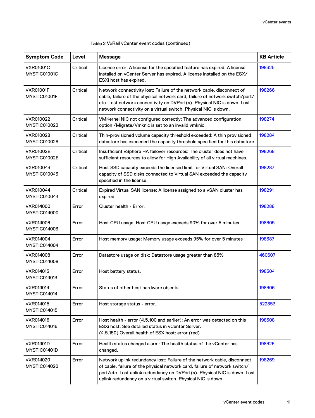#### **Symptom Code Level Message KB Article** VXR01001C MYSTIC01001C Critical | License error: A license for the specified feature has expired. A license installed on vCenter Server has expired. A license installed on the ESX/ ESXi host has expired. [198325](https://support.emc.com/kb/198325) VXR01001F MYSTIC01001F Critical | Network connectivity lost: Failure of the network cable, disconnect of cable, failure of the physical network card, failure of network switch/port/ etc. Lost network connectivity on DVPort(s). Physical NIC is down. Lost network connectivity on a virtual switch. Physical NIC is down. [198266](https://support.emc.com/kb/198266) VXR010022 MYSTIC010022 Critical VMKernel NIC not configured correctly: The advanced configuration option /Migrate/Vmknic is set to an invalid vmknic. [198274](https://support.emc.com/kb/198274) VXR010028 MYSTIC010028 Critical Thin-provisioned volume capacity threshold exceeded: A thin provisioned datastore has exceeded the capacity threshold specified for this datastore. [198284](https://support.emc.com/kb/198284) VXR01002E MYSTIC01002E Critical | Insufficient vSphere HA failover resources: The cluster does not have sufficient resources to allow for High Availability of all virtual machines. [198268](https://support.emc.com/kb/198268) VXR010043 MYSTIC010043 Critical | Host SSD capacity exceeds the licensed limit for Virtual SAN: Overall capacity of SSD disks connected to Virtual SAN exceeded the capacity specified in the license. [198287](https://support.emc.com/kb/198287) VXR010044 MYSTIC010044 Critical | Expired Virtual SAN license: A license assigned to a vSAN cluster has expired. [198291](https://support.emc.com/kb/198291) VXR014000 MYSTIC014000 Error Cluster health - Error. [198288](https://support.emc.com/kb/198288) VXR014003 MYSTIC014003 Error Host CPU usage: Host CPU usage exceeds 90% for over 5 minutes [198305](https://support.emc.com/kb/198305) VXR014004 MYSTIC014004 Error Host memory usage: Memory usage exceeds 95% for over 5 minutes [198387](https://support.emc.com/kb/198387) VXR014008 MYSTIC014008 Error Datastore usage on disk: Datastore usage greater than 85% and 160607 VXR014013 MYSTIC014013 Error Host battery status. The extension of the status of the status of the status of the status. VXR014014 MYSTIC014014 Error Status of other host hardware objects. [198306](https://support.emc.com/kb/198306) VXR014015 MYSTIC014015 Error Host storage status - error. [522853](https://support.emc.com/kb/522853) VXR014016 MYSTIC014016 Error  $|$  Host health - error (4.5.100 and earlier): An error was detected on this ESXi host. See detailed status in vCenter Server. (4.5.150) Overall health of ESX host: error (red) [198308](https://support.emc.com/kb/198308) VXR01401D MYSTIC01401D Error | Health status changed alarm: The health status of the vCenter has changed. [198326](https://support.emc.com/kb/198326) VXR014020 MYSTIC014020 Error | Network uplink redundancy lost: Failure of the network cable, disconnect of cable, failure of the physical network card, failure of network switch/ port/etc. Lost uplink redundancy on DVPort(s). Physical NIC is down. Lost uplink redundancy on a virtual switch. Physical NIC is down. [198269](https://support.emc.com/kb/198269)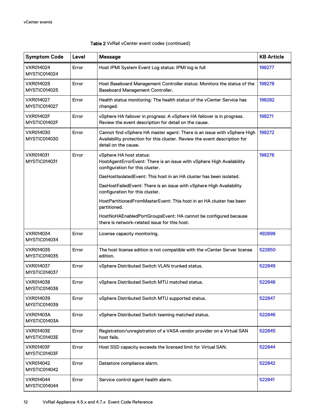| <b>Symptom Code</b>              | Level | <b>Message</b>                                                                                                                                                                 | <b>KB Article</b> |
|----------------------------------|-------|--------------------------------------------------------------------------------------------------------------------------------------------------------------------------------|-------------------|
|                                  |       |                                                                                                                                                                                |                   |
| VXR014024<br>MYSTIC014024        | Error | Host IPMI System Event Log status: IPMI log is full                                                                                                                            | 198277            |
| VXR014025<br>MYSTIC014025        | Error | Host Baseboard Management Controller status: Monitors the status of the<br>Baseboard Management Controller.                                                                    | 198278            |
| VXR014027<br>MYSTIC014027        | Error | Health status monitoring: The health status of the vCenter Service has<br>changed.                                                                                             | 198282            |
| <b>VXR01402F</b><br>MYSTIC01402F | Error | vSphere HA failover in progress: A vSphere HA failover is in progress.<br>Review the event description for detail on the cause.                                                | 198271            |
| VXR014030<br>MYSTIC014030        | Error | Cannot find vSphere HA master agent: There is an issue with vSphere High<br>Availability protection for this cluster. Review the event description for<br>detail on the cause. | 198272            |
| VXR014031<br><b>MYSTIC014031</b> | Error | vSphere HA host status:<br>HostAgentErrorEvent: There is an issue with vSphere High Availability<br>configuration for this cluster.                                            | 198276            |
|                                  |       | DasHostIsolatedEvent: This host in an HA cluster has been isolated.                                                                                                            |                   |
|                                  |       | DasHostFailedEvent: There is an issue with vSphere High Availability<br>configuration for this cluster.                                                                        |                   |
|                                  |       | HostPartitionedFromMasterEvent: This host in an HA cluster has been<br>partitioned.                                                                                            |                   |
|                                  |       | HostNoHAEnabledPortGroupsEvent: HA cannot be configured because<br>there is network-related issue for this host.                                                               |                   |
| VXR014034<br>MYSTIC014034        | Error | License capacity monitoring.                                                                                                                                                   | 492899            |
| VXR014035<br><b>MYSTIC014035</b> | Error | The host license edition is not compatible with the vCenter Server license<br>edition.                                                                                         | 522850            |
| VXR014037<br><b>MYSTIC014037</b> | Error | vSphere Distributed Switch VLAN trunked status.                                                                                                                                | 522849            |
| VXR014038<br><b>MYSTIC014038</b> | Error | vSphere Distributed Switch MTU matched status.                                                                                                                                 | 522848            |
| VXR014039<br>MYSTIC014039        | Error | vSphere Distributed Switch MTU supported status.                                                                                                                               | 522847            |
| <b>VXR01403A</b><br>MYSTIC01403A | Error | vSphere Distributed Switch teaming matched status.                                                                                                                             | 522846            |
| <b>VXR01403E</b><br>MYSTIC01403E | Error | Registration/unregistration of a VASA vendor provider on a Virtual SAN<br>host fails.                                                                                          | 522845            |
| <b>VXR01403F</b><br>MYSTIC01403F | Error | Host SSD capacity exceeds the licensed limit for Virtual SAN.                                                                                                                  | 522844            |
| VXR014042<br>MYSTIC014042        | Error | Datastore compliance alarm.                                                                                                                                                    | 522842            |
| VXR014044<br>MYSTIC014044        | Error | Service control agent health alarm.                                                                                                                                            | 522841            |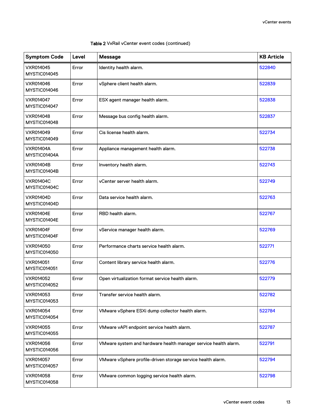#### **Symptom Code Level Message KB Article** VXR014045 MYSTIC014045 Error Identity health alarm. [522840](https://support.emc.com/kb/522840) VXR014046 MYSTIC014046 Error vSphere client health alarm. [522839](https://support.emc.com/kb/522839) VXR014047 MYSTIC014047 Error ESX agent manager health alarm. The state of the state of the state of the state of the state of the state of the state of the state of the state of the state of the state of the state of the state of the state of th VXR014048 MYSTIC014048 Error Message bus config health alarm. The state of the state of the state of the state of the state of the state of the state of the state of the state of the state of the state of the state of the state of the state of t VXR014049 MYSTIC014049 Error Cis license health alarm. [522734](https://support.emc.com/kb/522734) VXR01404A MYSTIC01404A Error Appliance management health alarm. The state of the S22738 VXR01404B MYSTIC01404B Error Inventory health alarm. [522743](https://support.emc.com/kb/522743) VXR01404C MYSTIC01404C Error  $\sqrt{522749}$  $\sqrt{522749}$  $\sqrt{522749}$  vCenter server health alarm. VXR01404D MYSTIC01404D Error Data service health alarm. [522763](https://support.emc.com/kb/522763) VXR01404E MYSTIC01404E Error RBD health alarm. [522767](https://support.emc.com/kb/522767) VXR01404F MYSTIC01404F Error vService manager health alarm. The state of the state of the state of the state of the state of the state of the state of the state of the state of the state of the state of the state of the state of the state of the VXR014050 MYSTIC014050 Error Performance charts service health alarm. VXR014051 MYSTIC014051 Error Content library service health alarm. The state of the state of the S22776 VXR014052 MYSTIC014052 Error | Open virtualization format service health alarm. | [522779](https://support.emc.com/kb/522779) VXR014053 MYSTIC014053 Error Transfer service health alarm. [522782](https://support.emc.com/kb/522782) VXR014054 MYSTIC014054 Error VMware vSphere ESXi dump collector health alarm. [522784](https://support.emc.com/kb/522784) VXR014055 MYSTIC014055 Error VMware vAPI endpoint service health alarm. [522787](https://support.emc.com/kb/522787) VXR014056 MYSTIC014056 Error VMware system and hardware health manager service health alarm. [522791](https://support.emc.com/kb/522791) VXR014057 MYSTIC014057 Error VMware vSphere profile-driven storage service health alarm. [522794](https://support.emc.com/kb/522794) VXR014058 MYSTIC014058 Error VMware common logging service health alarm. [522798](https://support.emc.com/kb/522798)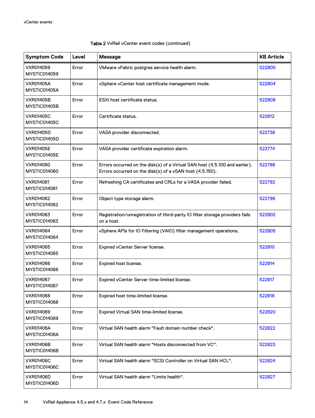| <b>Symptom Code</b>              | Level | <b>Message</b>                                                                                                                          | <b>KB Article</b> |
|----------------------------------|-------|-----------------------------------------------------------------------------------------------------------------------------------------|-------------------|
| VXR014059<br><b>MYSTIC014059</b> | Error | VMware vFabric postgres service health alarm.                                                                                           | 522800            |
| <b>VXR01405A</b><br>MYSTIC01405A | Error | vSphere vCenter host certificate management mode.                                                                                       | 522804            |
| <b>VXR01405B</b><br>MYSTIC01405B | Error | ESXi host certificate status.                                                                                                           | 522808            |
| <b>VXR01405C</b><br>MYSTIC01405C | Error | Certificate status.                                                                                                                     | 522812            |
| <b>VXR01405D</b><br>MYSTIC01405D | Error | VASA provider disconnected.                                                                                                             | 522736            |
| <b>VXR01405E</b><br>MYSTIC01405E | Error | VASA provider certificate expiration alarm.                                                                                             | 522774            |
| VXR014060<br><b>MYSTIC014060</b> | Error | Errors occurred on the disk(s) of a Virtual SAN host (4.5.100 and earlier).<br>Errors occurred on the disk(s) of a vSAN host (4.5.150). | 522786            |
| VXR014061<br><b>MYSTIC014061</b> | Error | Refreshing CA certificates and CRLs for a VASA provider failed.                                                                         | 522792            |
| VXR014062<br>MYSTIC014062        | Error | Object type storage alarm.                                                                                                              | 522796            |
| VXR014063<br><b>MYSTIC014063</b> | Error | Registration/unregistration of third-party IO filter storage providers fails<br>on a host.                                              | 522802            |
| VXR014064<br>MYSTIC014064        | Error | vSphere APIs for IO Filtering (VAIO) filter management operations.                                                                      | 522805            |
| VXR014065<br><b>MYSTIC014065</b> | Error | Expired vCenter Server license.                                                                                                         | 522810            |
| VXR014066<br>MYSTIC014066        | Error | Expired host license.                                                                                                                   | 522814            |
| VXR014067<br>MYSTIC014067        | Error | Expired vCenter Server time-limited license.                                                                                            | 522817            |
| <b>VXR014068</b><br>MYSTIC014068 | Error | Expired host time-limited license.                                                                                                      | 522818            |
| VXR014069<br>MYSTIC014069        | Error | Expired Virtual SAN time-limited license.                                                                                               | 522820            |
| <b>VXR01406A</b><br>MYSTIC01406A | Error | Virtual SAN health alarm "Fault domain number check".                                                                                   | 522822            |
| <b>VXR01406B</b><br>MYSTIC01406B | Error | Virtual SAN health alarm "Hosts disconnected from VC".                                                                                  | 522823            |
| <b>VXR01406C</b><br>MYSTIC01406C | Error | Virtual SAN health alarm "SCSI Controller on Virtual SAN HCL".                                                                          | 522824            |
| <b>VXR01406D</b>                 | Error | Virtual SAN health alarm "Limits health".                                                                                               | 522827            |

MYSTIC01406D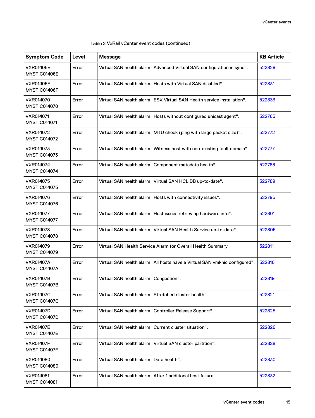| <b>Symptom Code</b>                     | Level | <b>Message</b>                                                             | <b>KB Article</b> |
|-----------------------------------------|-------|----------------------------------------------------------------------------|-------------------|
| <b>VXR01406E</b><br>MYSTIC01406E        | Error | Virtual SAN health alarm "Advanced Virtual SAN configuration in sync".     | 522829            |
| <b>VXR01406F</b><br>MYSTIC01406F        | Error | Virtual SAN health alarm "Hosts with Virtual SAN disabled".                | 522831            |
| <b>VXR014070</b><br><b>MYSTIC014070</b> | Error | Virtual SAN health alarm "ESX Virtual SAN Health service installation".    | 522833            |
| VXR014071<br>MYSTIC014071               | Error | Virtual SAN health alarm "Hosts without configured unicast agent".         | 522765            |
| <b>VXR014072</b><br>MYSTIC014072        | Error | Virtual SAN health alarm "MTU check (ping with large packet size)".        | 522772            |
| VXR014073<br>MYSTIC014073               | Error | Virtual SAN health alarm "Witness host with non-existing fault domain".    | 522777            |
| VXR014074<br>MYSTIC014074               | Error | Virtual SAN health alarm "Component metadata health".                      | 522783            |
| <b>VXR014075</b><br><b>MYSTIC014075</b> | Error | Virtual SAN health alarm "Virtual SAN HCL DB up-to-date".                  | 522789            |
| <b>VXR014076</b><br>MYSTIC014076        | Error | Virtual SAN health alarm "Hosts with connectivity issues".                 | 522795            |
| <b>VXR014077</b><br>MYSTIC014077        | Error | Virtual SAN health alarm "Host issues retrieving hardware info".           | 522801            |
| VXR014078<br>MYSTIC014078               | Error | Virtual SAN health alarm "Virtual SAN Health Service up-to-date".          | 522806            |
| VXR014079<br>MYSTIC014079               | Error | Virtual SAN Health Service Alarm for Overall Health Summary                | 522811            |
| <b>VXR01407A</b><br>MYSTIC01407A        | Error | Virtual SAN health alarm "All hosts have a Virtual SAN vmknic configured". | 522816            |
| <b>VXR01407B</b><br>MYSTIC01407B        | Error | Virtual SAN health alarm "Congestion".                                     | 522819            |
| <b>VXR01407C</b><br>MYSTIC01407C        | Error | Virtual SAN health alarm "Stretched cluster health".                       | 522821            |
| <b>VXR01407D</b><br>MYSTIC01407D        | Error | Virtual SAN health alarm "Controller Release Support".                     | 522825            |
| <b>VXR01407E</b><br>MYSTIC01407E        | Error | Virtual SAN health alarm "Current cluster situation".                      | 522826            |
| <b>VXR01407F</b><br>MYSTIC01407F        | Error | Virtual SAN health alarm "Virtual SAN cluster partition".                  | 522828            |
| VXR014080<br><b>MYSTIC014080</b>        | Error | Virtual SAN health alarm "Data health".                                    | 522830            |
| VXR014081<br>MYSTIC014081               | Error | Virtual SAN health alarm "After 1 additional host failure".                | 522832            |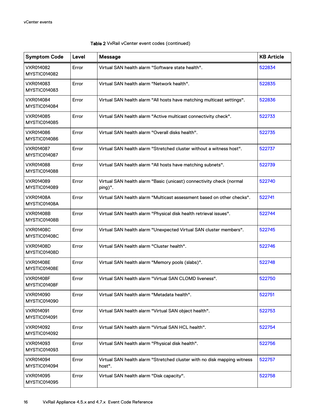| <b>Symptom Code</b>              | Level | <b>Message</b>                                                                     | <b>KB Article</b> |
|----------------------------------|-------|------------------------------------------------------------------------------------|-------------------|
| VXR014082<br>MYSTIC014082        | Error | Virtual SAN health alarm "Software state health".                                  | 522834            |
| VXR014083<br><b>MYSTIC014083</b> | Error | Virtual SAN health alarm "Network health".                                         | 522835            |
| <b>VXR014084</b><br>MYSTIC014084 | Error | Virtual SAN health alarm "All hosts have matching multicast settings".             | 522836            |
| VXR014085<br><b>MYSTIC014085</b> | Error | Virtual SAN health alarm "Active multicast connectivity check".                    | 522733            |
| VXR014086<br>MYSTIC014086        | Error | Virtual SAN health alarm "Overall disks health".                                   | 522735            |
| <b>VXR014087</b><br>MYSTIC014087 | Error | Virtual SAN health alarm "Stretched cluster without a witness host".               | 522737            |
| VXR014088<br>MYSTIC014088        | Error | Virtual SAN health alarm "All hosts have matching subnets".                        | 522739            |
| VXR014089<br>MYSTIC014089        | Error | Virtual SAN health alarm "Basic (unicast) connectivity check (normal<br>ping)".    | 522740            |
| <b>VXR01408A</b><br>MYSTIC01408A | Error | Virtual SAN health alarm "Multicast assessment based on other checks".             | 522741            |
| <b>VXR01408B</b><br>MYSTIC01408B | Error | Virtual SAN health alarm "Physical disk health retrieval issues".                  | 522744            |
| <b>VXR01408C</b><br>MYSTIC01408C | Error | Virtual SAN health alarm "Unexpected Virtual SAN cluster members".                 | 522745            |
| <b>VXR01408D</b><br>MYSTIC01408D | Error | Virtual SAN health alarm "Cluster health".                                         | 522746            |
| <b>VXR01408E</b><br>MYSTIC01408E | Error | Virtual SAN health alarm "Memory pools (slabs)".                                   | 522748            |
| <b>VXR01408F</b><br>MYSTIC01408F | Error | Virtual SAN health alarm "Virtual SAN CLOMD liveness".                             | 522750            |
| VXR014090<br>MYSTIC014090        | Error | Virtual SAN health alarm "Metadata health".                                        | 522751            |
| <b>VXR014091</b><br>MYSTIC014091 | Error | Virtual SAN health alarm "Virtual SAN object health".                              | 522753            |
| VXR014092<br><b>MYSTIC014092</b> | Error | Virtual SAN health alarm "Virtual SAN HCL health".                                 | 522754            |
| VXR014093<br>MYSTIC014093        | Error | Virtual SAN health alarm "Physical disk health".                                   | 522756            |
| VXR014094<br>MYSTIC014094        | Error | Virtual SAN health alarm "Stretched cluster with no disk mapping witness<br>host". | 522757            |
| VXR014095<br>MYSTIC014095        | Error | Virtual SAN health alarm "Disk capacity".                                          | 522758            |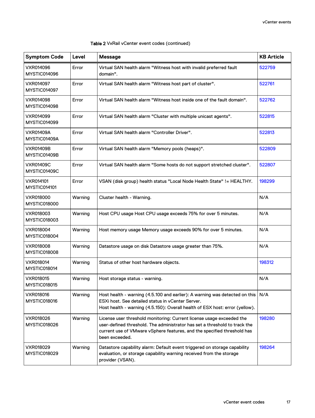| <b>Symptom Code</b>                     | Level   | <b>Message</b>                                                                                                                                                                                                                                   | <b>KB Article</b> |
|-----------------------------------------|---------|--------------------------------------------------------------------------------------------------------------------------------------------------------------------------------------------------------------------------------------------------|-------------------|
| <b>VXR014096</b><br>MYSTIC014096        | Error   | Virtual SAN health alarm "Witness host with invalid preferred fault<br>domain".                                                                                                                                                                  | 522759            |
| <b>VXR014097</b><br>MYSTIC014097        | Error   | Virtual SAN health alarm "Witness host part of cluster".                                                                                                                                                                                         | 522761            |
| <b>VXR014098</b><br>MYSTIC014098        | Error   | Virtual SAN health alarm "Witness host inside one of the fault domain".                                                                                                                                                                          | 522762            |
| VXR014099<br><b>MYSTIC014099</b>        | Error   | Virtual SAN health alarm "Cluster with multiple unicast agents".                                                                                                                                                                                 | 522815            |
| <b>VXR01409A</b><br>MYSTIC01409A        | Error   | Virtual SAN health alarm "Controller Driver".                                                                                                                                                                                                    | 522813            |
| <b>VXR01409B</b><br>MYSTIC01409B        | Error   | Virtual SAN health alarm "Memory pools (heaps)".                                                                                                                                                                                                 | 522809            |
| <b>VXR01409C</b><br>MYSTIC01409C        | Error   | Virtual SAN health alarm "Some hosts do not support stretched cluster".                                                                                                                                                                          | 522807            |
| VXR014101<br>MYSTIC014101               | Error   | VSAN (disk group) health status "Local Node Health State" != HEALTHY.                                                                                                                                                                            | 198299            |
| <b>VXR018000</b><br><b>MYSTIC018000</b> | Warning | Cluster health - Warning.                                                                                                                                                                                                                        | N/A               |
| VXR018003<br><b>MYSTIC018003</b>        | Warning | Host CPU usage Host CPU usage exceeds 75% for over 5 minutes.                                                                                                                                                                                    | N/A               |
| <b>VXR018004</b><br>MYSTIC018004        | Warning | Host memory usage Memory usage exceeds 90% for over 5 minutes.                                                                                                                                                                                   | N/A               |
| <b>VXR018008</b><br><b>MYSTIC018008</b> | Warning | Datastore usage on disk Datastore usage greater than 75%.                                                                                                                                                                                        | N/A               |
| <b>VXR018014</b><br><b>MYSTIC018014</b> | Warning | Status of other host hardware objects.                                                                                                                                                                                                           | 198312            |
| VXR018015<br>MYSTIC018015               | Warning | Host storage status - warning.                                                                                                                                                                                                                   | N/A               |
| VXR018016<br>MYSTIC018016               | Warning | Host health - warning (4.5.100 and earlier): A warning was detected on this<br>ESXi host. See detailed status in vCenter Server.<br>Host health - warning (4.5.150): Overall health of ESX host: error (yellow).                                 | N/A               |
| <b>VXR018026</b><br><b>MYSTIC018026</b> | Warning | License user threshold monitoring: Current license usage exceeded the<br>user-defined threshold. The administrator has set a threshold to track the<br>current use of VMware vSphere features, and the specified threshold has<br>been exceeded. | 198280            |
| VXR018029<br><b>MYSTIC018029</b>        | Warning | Datastore capability alarm: Default event triggered on storage capability<br>evaluation, or storage capability warning received from the storage<br>provider (VSAN).                                                                             | 198264            |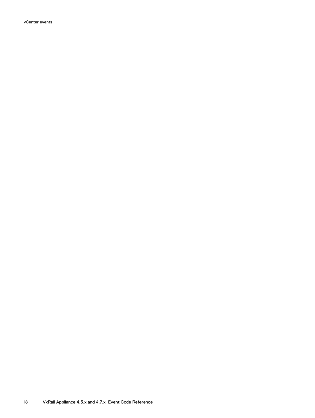vCenter events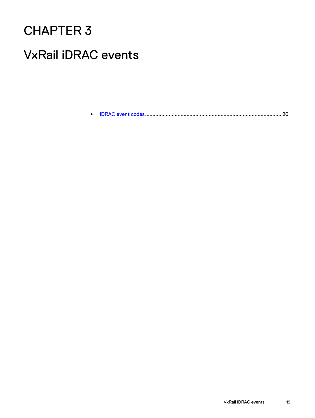# <span id="page-18-0"></span>CHAPTER 3

VxRail iDRAC events

<sup>l</sup> [iDRAC event codes](#page-19-0)............................................................................................ 20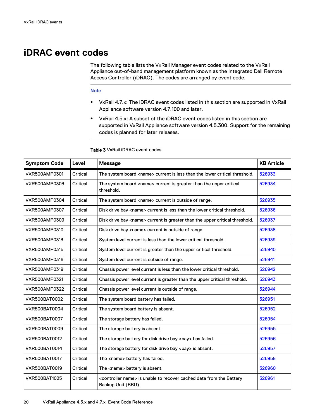### <span id="page-19-0"></span>**iDRAC event codes**

The following table lists the VxRail Manager event codes related to the VxRail Appliance out-of-band management platform known as the Integrated Dell Remote Access Controller (iDRAC). The codes are arranged by event code.

#### **Note**

- VxRail 4.7.x: The iDRAC event codes listed in this section are supported in VxRail Appliance software version 4.7.100 and later.
- VxRail 4.5.x: A subset of the iDRAC event codes listed in this section are supported in VxRail Appliance software version 4.5.300. Support for the remaining codes is planned for later releases.

| <b>Symptom Code</b>  | Level    | <b>Message</b>                                                                                             | <b>KB Article</b> |
|----------------------|----------|------------------------------------------------------------------------------------------------------------|-------------------|
| VXR500AMP0301        | Critical | The system board <name> current is less than the lower critical threshold.</name>                          | 526933            |
| VXR500AMP0303        | Critical | The system board <name> current is greater than the upper critical<br/>threshold.</name>                   | 526934            |
| VXR500AMP0304        | Critical | The system board <name> current is outside of range.</name>                                                | 526935            |
| <b>VXR500AMP0307</b> | Critical | Disk drive bay <name> current is less than the lower critical threshold.</name>                            | 526936            |
| VXR500AMP0309        | Critical | Disk drive bay <name> current is greater than the upper critical threshold.</name>                         | 526937            |
| VXR500AMP0310        | Critical | Disk drive bay <name> current is outside of range.</name>                                                  | 526938            |
| <b>VXR500AMP0313</b> | Critical | System level current is less than the lower critical threshold.                                            | 526939            |
| VXR500AMP0315        | Critical | System level current is greater than the upper critical threshold.                                         | 526940            |
| VXR500AMP0316        | Critical | System level current is outside of range.                                                                  | 526941            |
| VXR500AMP0319        | Critical | Chassis power level current is less than the lower critical threshold.                                     | 526942            |
| <b>VXR500AMP0321</b> | Critical | Chassis power level current is greater than the upper critical threshold.                                  | 526943            |
| VXR500AMP0322        | Critical | Chassis power level current is outside of range.                                                           | 526944            |
| VXR500BAT0002        | Critical | The system board battery has failed.                                                                       | 526951            |
| VXR500BAT0004        | Critical | The system board battery is absent.                                                                        | 526952            |
| VXR500BAT0007        | Critical | The storage battery has failed.                                                                            | 526954            |
| VXR500BAT0009        | Critical | The storage battery is absent.                                                                             | 526955            |
| <b>VXR500BAT0012</b> | Critical | The storage battery for disk drive bay <bay> has failed.</bay>                                             | 526956            |
| <b>VXR500BAT0014</b> | Critical | The storage battery for disk drive bay <bay> is absent.</bay>                                              | 526957            |
| <b>VXR500BAT0017</b> | Critical | The <name> battery has failed.</name>                                                                      | 526958            |
| <b>VXR500BAT0019</b> | Critical | The <name> battery is absent.</name>                                                                       | 526960            |
| <b>VXR500BAT1025</b> | Critical | <controller name=""> is unable to recover cached data from the Battery<br/>Backup Unit (BBU).</controller> | 526961            |

Table 3 VxRail iDRAC event codes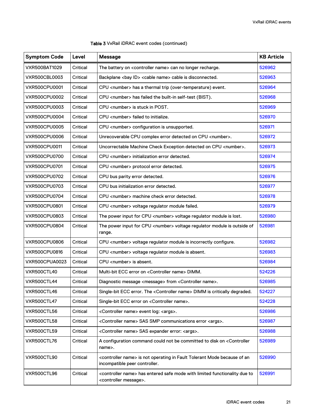| <b>Symptom Code</b>  | Level    | <b>Message</b>                                                                                                                      | <b>KB Article</b> |
|----------------------|----------|-------------------------------------------------------------------------------------------------------------------------------------|-------------------|
| VXR500BAT1029        | Critical | The battery on <controller name=""> can no longer recharge.</controller>                                                            | 526962            |
| <b>VXR500CBL0003</b> | Critical | Backplane <bay id=""> <cable name=""> cable is disconnected.</cable></bay>                                                          | 526963            |
| <b>VXR500CPU0001</b> | Critical | CPU <number> has a thermal trip (over-temperature) event.</number>                                                                  | 526964            |
| <b>VXR500CPU0002</b> | Critical | CPU <number> has failed the built-in self-test (BIST).</number>                                                                     | 526968            |
| <b>VXR500CPU0003</b> | Critical | CPU <number> is stuck in POST.</number>                                                                                             | 526969            |
| <b>VXR500CPU0004</b> | Critical | CPU <number> failed to initialize.</number>                                                                                         | 526970            |
| VXR500CPU0005        | Critical | CPU <number> configuration is unsupported.</number>                                                                                 | 526971            |
| <b>VXR500CPU0006</b> | Critical | Unrecoverable CPU complex error detected on CPU <number>.</number>                                                                  | 526972            |
| <b>VXR500CPU0011</b> | Critical | Uncorrectable Machine Check Exception detected on CPU <number>.</number>                                                            | 526973            |
| <b>VXR500CPU0700</b> | Critical | CPU <number> initialization error detected.</number>                                                                                | 526974            |
| <b>VXR500CPU0701</b> | Critical | CPU <number> protocol error detected.</number>                                                                                      | 526975            |
| <b>VXR500CPU0702</b> | Critical | CPU bus parity error detected.                                                                                                      | 526976            |
| <b>VXR500CPU0703</b> | Critical | CPU bus initialization error detected.                                                                                              | 526977            |
| <b>VXR500CPU0704</b> | Critical | CPU <number> machine check error detected.</number>                                                                                 | 526978            |
| <b>VXR500CPU0801</b> | Critical | CPU <number> voltage regulator module failed.</number>                                                                              | 526979            |
| <b>VXR500CPU0803</b> | Critical | The power input for CPU <number> voltage regulator module is lost.</number>                                                         | 526980            |
| <b>VXR500CPU0804</b> | Critical | The power input for CPU <number> voltage regulator module is outside of<br/>range.</number>                                         | 526981            |
| <b>VXR500CPU0806</b> | Critical | CPU <number> voltage regulator module is incorrectly configure.</number>                                                            | 526982            |
| <b>VXR500CPU0816</b> | Critical | CPU <number> voltage regulator module is absent.</number>                                                                           | 526983            |
| VXR500CPUA0023       | Critical | CPU <number> is absent.</number>                                                                                                    | 526984            |
| <b>VXR500CTL40</b>   | Critical | Multi-bit ECC error on <controller name=""> DIMM.</controller>                                                                      | 524226            |
| VXR500CTL44          | Critical | Diagnostic message <message> from <controller name="">.</controller></message>                                                      | 526985            |
| VXR500CTL46          | Critical | Single-bit ECC error. The <controller name=""> DIMM is critically degraded.</controller>                                            | 524227            |
| <b>VXR500CTL47</b>   | Critical | Single-bit ECC error on <controller name="">.</controller>                                                                          | 524228            |
| VXR500CTL56          | Critical | <controller name=""> event log: <args>.</args></controller>                                                                         | 526986            |
| <b>VXR500CTL58</b>   | Critical | <controller name=""> SAS SMP communications error <args>.</args></controller>                                                       | 526987            |
| VXR500CTL59          | Critical | <controller name=""> SAS expander error: <args>.</args></controller>                                                                | 526988            |
| VXR500CTL76          | Critical | A configuration command could not be committed to disk on <controller<br>name&gt;.</controller<br>                                  | 526989            |
| VXR500CTL90          | Critical | <controller name=""> is not operating in Fault Tolerant Mode because of an<br/>incompatible peer controller.</controller>           | 526990            |
| VXR500CTL96          | Critical | <controller name=""> has entered safe mode with limited functionality due to<br/><controller message="">.</controller></controller> | 526991            |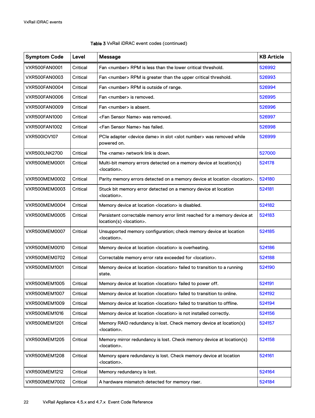| <b>Symptom Code</b>  | Level    | <b>Message</b>                                                                                                 | <b>KB Article</b> |
|----------------------|----------|----------------------------------------------------------------------------------------------------------------|-------------------|
| <b>VXR500FAN0001</b> | Critical | Fan <number> RPM is less than the lower critical threshold.</number>                                           | 526992            |
| <b>VXR500FAN0003</b> | Critical | Fan <number> RPM is greater than the upper critical threshold.</number>                                        | 526993            |
| <b>VXR500FAN0004</b> | Critical | Fan <number> RPM is outside of range.</number>                                                                 | 526994            |
| <b>VXR500FAN0006</b> | Critical | Fan <number> is removed.</number>                                                                              | 526995            |
| VXR500FAN0009        | Critical | Fan <number> is absent.</number>                                                                               | 526996            |
| <b>VXR500FAN1000</b> | Critical | <fan name="" sensor=""> was removed.</fan>                                                                     | 526997            |
| VXR500FAN1002        | Critical | <fan name="" sensor=""> has failed.</fan>                                                                      | 526998            |
| <b>VXR500IOV107</b>  | Critical | PCIe adapter <device dame=""> in slot <slot number=""> was removed while<br/>powered on.</slot></device>       | 526999            |
| <b>VXR500LNK2700</b> | Critical | The <name> network link is down.</name>                                                                        | 527000            |
| <b>VXR500MEM0001</b> | Critical | Multi-bit memory errors detected on a memory device at location(s)<br><location>.</location>                   | 524178            |
| <b>VXR500MEM0002</b> | Critical | Parity memory errors detected on a memory device at location <location>.</location>                            | 524180            |
| VXR500MEM0003        | Critical | Stuck bit memory error detected on a memory device at location<br><location>.</location>                       | 524181            |
| <b>VXR500MEM0004</b> | Critical | Memory device at location <location> is disabled.</location>                                                   | 524182            |
| <b>VXR500MEM0005</b> | Critical | Persistent correctable memory error limit reached for a memory device at<br>location(s) <location>.</location> | 524183            |
| <b>VXR500MEM0007</b> | Critical | Unsupported memory configuration; check memory device at location<br><location>.</location>                    | 524185            |
| <b>VXR500MEM0010</b> | Critical | Memory device at location <location> is overheating.</location>                                                | 524186            |
| VXR500MEM0702        | Critical | Correctable memory error rate exceeded for <location>.</location>                                              | 524188            |
| <b>VXR500MEM1001</b> | Critical | Memory device at location <location> failed to transition to a running<br/>state.</location>                   | 524190            |
| <b>VXR500MEM1005</b> | Critical | Memory device at location <location> failed to power off.</location>                                           | 524191            |
| <b>VXR500MEM1007</b> | Critical | Memory device at location <location> failed to transition to online.</location>                                | 524192            |
| <b>VXR500MEM1009</b> | Critical | Memory device at location <location> failed to transition to offline.</location>                               | 524194            |
| <b>VXR500MEM1016</b> | Critical | Memory device at location <location> is not installed correctly.</location>                                    | 524156            |
| <b>VXR500MEM1201</b> | Critical | Memory RAID redundancy is lost. Check memory device at location(s)<br><location>.</location>                   | 524157            |
| <b>VXR500MEM1205</b> | Critical | Memory mirror redundancy is lost. Check memory device at location(s)<br><location>.</location>                 | 524158            |
| <b>VXR500MEM1208</b> | Critical | Memory spare redundancy is lost. Check memory device at location<br><location>.</location>                     | 524161            |
| <b>VXR500MEM1212</b> | Critical | Memory redundancy is lost.                                                                                     | 524164            |
| <b>VXR500MEM7002</b> | Critical | A hardware mismatch detected for memory riser.                                                                 | 524184            |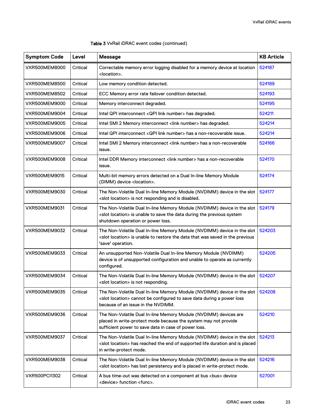| <b>Symptom Code</b>  | Level    | <b>Message</b>                                                                                                                                                                                    | <b>KB Article</b> |
|----------------------|----------|---------------------------------------------------------------------------------------------------------------------------------------------------------------------------------------------------|-------------------|
| <b>VXR500MEM8000</b> | Critical | Correctable memory error logging disabled for a memory device at location<br><location>.</location>                                                                                               | 524187            |
| <b>VXR500MEM8500</b> | Critical | Low memory condition detected.                                                                                                                                                                    | 524189            |
| <b>VXR500MEM8502</b> | Critical | ECC Memory error rate failover condition detected.                                                                                                                                                | 524193            |
| VXR500MEM9000        | Critical | Memory interconnect degraded.                                                                                                                                                                     | 524195            |
| <b>VXR500MEM9004</b> | Critical | Intel QPI interconnect <qpi link="" number=""> has degraded.</qpi>                                                                                                                                | 524211            |
| <b>VXR500MEM9005</b> | Critical | Intel SMI 2 Memory interconnect <link number=""/> has degraded.                                                                                                                                   | 524214            |
| VXR500MEM9006        | Critical | Intel QPI interconnect <qpi link="" number=""> has a non-recoverable issue.</qpi>                                                                                                                 | 524214            |
| <b>VXR500MEM9007</b> | Critical | Intel SMI 2 Memory interconnect <link number=""/> has a non-recoverable<br>issue.                                                                                                                 | 524166            |
| <b>VXR500MEM9008</b> | Critical | Intel DDR Memory interconnect <link number=""/> has a non-recoverable<br>issue.                                                                                                                   | 524170            |
| <b>VXR500MEM9015</b> | Critical | Multi-bit memory errors detected on a Dual In-line Memory Module<br>(DIMM) device <location>.</location>                                                                                          | 524174            |
| VXR500MEM9030        | Critical | The Non-Volatile Dual In-line Memory Module (NVDIMM) device in the slot<br><slot location=""> is not responding and is disabled.</slot>                                                           | 524177            |
| VXR500MEM9031        | Critical | The Non-Volatile Dual In-line Memory Module (NVDIMM) device in the slot<br><slot location=""> is unable to save the data during the previous system<br/>shutdown operation or power loss.</slot>  | 524179            |
| <b>VXR500MEM9032</b> | Critical | The Non-Volatile Dual In-line Memory Module (NVDIMM) device in the slot<br><slot location=""> is unable to restore the data that was saved in the previous<br/>'save' operation.</slot>           | 524203            |
| VXR500MEM9033        | Critical | An unsupported Non-Volatile Dual In-line Memory Module (NVDIMM)<br>device is of unsupported configuration and unable to operate as currently<br>configured.                                       | 524205            |
| <b>VXR500MEM9034</b> | Critical | The Non-Volatile Dual In-line Memory Module (NVDIMM) device in the slot<br><slot location=""> is not responding.</slot>                                                                           | 524207            |
| VXR500MEM9035        | Critical | The Non-Volatile Dual In-line Memory Module (NVDIMM) device in the slot<br><slot location=""> cannot be configured to save data during a power loss<br/>because of an issue in the NVDIMM.</slot> | 524208            |
| VXR500MEM9036        | Critical | The Non-Volatile Dual In-line Memory Module (NVDIMM) devices are<br>placed in write-protect mode because the system may not provide<br>sufficient power to save data in case of power loss.       | 524210            |
| VXR500MEM9037        | Critical | The Non-Volatile Dual In-line Memory Module (NVDIMM) device in the slot<br><slot location=""> has reached the end of supported life duration and is placed<br/>in write-protect mode.</slot>      | 524213            |
| VXR500MEM9038        | Critical | The Non-Volatile Dual In-line Memory Module (NVDIMM) device in the slot<br><slot location=""> has lost persistency and is placed in write-protect mode.</slot>                                    | 524216            |
| VXR500PCI1302        | Critical | A bus time-out was detected on a component at bus <bus> device<br/><device> function <func>.</func></device></bus>                                                                                | 527001            |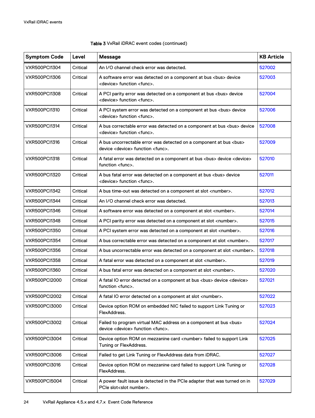| <b>Symptom Code</b>  | Level    | <b>Message</b>                                                                                                                | <b>KB Article</b> |
|----------------------|----------|-------------------------------------------------------------------------------------------------------------------------------|-------------------|
| VXR500PCI1304        | Critical | An I/O channel check error was detected.                                                                                      | 527002            |
| <b>VXR500PCI1306</b> | Critical | A software error was detected on a component at bus <bus> device<br/><device> function <func>.</func></device></bus>          | 527003            |
| <b>VXR500PCI1308</b> | Critical | A PCI parity error was detected on a component at bus <bus> device<br/><device> function <func>.</func></device></bus>        | 527004            |
| <b>VXR500PCI1310</b> | Critical | A PCI system error was detected on a component at bus <bus> device<br/><device> function <func>.</func></device></bus>        | 527006            |
| <b>VXR500PCI1314</b> | Critical | A bus correctable error was detected on a component at bus <bus> device<br/><device> function <func>.</func></device></bus>   | 527008            |
| <b>VXR500PCI1316</b> | Critical | A bus uncorrectable error was detected on a component at bus <bus><br/>device <device> function <func>.</func></device></bus> | 527009            |
| <b>VXR500PCI1318</b> | Critical | A fatal error was detected on a component at bus <bus> device <device><br/>function <func>.</func></device></bus>             | 527010            |
| <b>VXR500PCI1320</b> | Critical | A bus fatal error was detected on a component at bus <bus> device<br/><device> function <func>.</func></device></bus>         | 527011            |
| <b>VXR500PCI1342</b> | Critical | A bus time-out was detected on a component at slot <number>.</number>                                                         | 527012            |
| <b>VXR500PCI1344</b> | Critical | An I/O channel check error was detected.                                                                                      | 527013            |
| <b>VXR500PCI1346</b> | Critical | A software error was detected on a component at slot <number>.</number>                                                       | 527014            |
| <b>VXR500PCI1348</b> | Critical | A PCI parity error was detected on a component at slot <number>.</number>                                                     | 527015            |
| VXR500PCI1350        | Critical | A PCI system error was detected on a component at slot <number>.</number>                                                     | 527016            |
| <b>VXR500PCI1354</b> | Critical | A bus correctable error was detected on a component at slot <number>.</number>                                                | 527017            |
| <b>VXR500PCI1356</b> | Critical | A bus uncorrectable error was detected on a component at slot <number>.</number>                                              | 527018            |
| <b>VXR500PCI1358</b> | Critical | A fatal error was detected on a component at slot <number>.</number>                                                          | 527019            |
| <b>VXR500PCI1360</b> | Critical | A bus fatal error was detected on a component at slot <number>.</number>                                                      | 527020            |
| <b>VXR500PCI2000</b> | Critical | A fatal IO error detected on a component at bus < bus> device < device><br>function <func>.</func>                            | 527021            |
| VXR500PCI2002        | Critical | A fatal IO error detected on a component at slot <number>.</number>                                                           | 527022            |
| VXR500PCI3000        | Critical | Device option ROM on embedded NIC failed to support Link Tuning or<br>FlexAddress.                                            | 527023            |
| <b>VXR500PCI3002</b> | Critical | Failed to program virtual MAC address on a component at bus <bus><br/>device <device> function <func>.</func></device></bus>  | 527024            |
| <b>VXR500PCI3004</b> | Critical | Device option ROM on mezzanine card <number> failed to support Link<br/>Tuning or FlexAddress.</number>                       | 527025            |
| <b>VXR500PCI3006</b> | Critical | Failed to get Link Tuning or FlexAddress data from iDRAC.                                                                     | 527027            |
| <b>VXR500PCI3016</b> | Critical | Device option ROM on mezzanine card failed to support Link Tuning or<br>FlexAddress.                                          | 527028            |
| <b>VXR500PCI5004</b> | Critical | A power fault issue is detected in the PCIe adapter that was turned on in<br>PCIe slot <slot number="">.</slot>               | 527029            |

 $\mathsf{l}$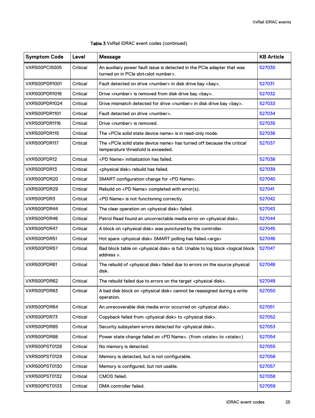| <b>Symptom Code</b>  | Level    | <b>Message</b>                                                                                                                   | <b>KB Article</b> |
|----------------------|----------|----------------------------------------------------------------------------------------------------------------------------------|-------------------|
| <b>VXR500PCI5005</b> | Critical | An auxiliary power fault issue is detected in the PCIe adapter that was<br>turned on in PCIe slot <slot number="">.</slot>       | 527030            |
| <b>VXR500PDR1001</b> | Critical | Fault detected on drive <number> in disk drive bay <br/> <br/> <br/> <br> <br/> <br/>Pay&gt;.</br></number>                      | 527031            |
| <b>VXR500PDR1016</b> | Critical | Drive <number> is removed from disk drive bay <br/> <br/> <br/>sy&gt;.</number>                                                  | 527032            |
| <b>VXR500PDR1024</b> | Critical | Drive mismatch detected for drive <number> in disk drive bay <br/> <br/>bay&gt;.</number>                                        | 527033            |
| <b>VXR500PDR1101</b> | Critical | Fault detected on drive <number>.</number>                                                                                       | 527034            |
| <b>VXR500PDR1116</b> | Critical | Drive <number> is removed.</number>                                                                                              | 527035            |
| <b>VXR500PDR115</b>  | Critical | The <pcie device="" name="" solid="" state=""> is in read-only mode.</pcie>                                                      | 527036            |
| <b>VXR500PDR117</b>  | Critical | The <pcie device="" name="" solid="" state=""> has turned off because the critical<br/>temperature threshold is exceeded.</pcie> | 527037            |
| VXR500PDR12          | Critical | <pd name=""> initialization has failed.</pd>                                                                                     | 527038            |
| VXR500PDR13          | Critical | <physical disk=""> rebuild has failed.</physical>                                                                                | 527039            |
| VXR500PDR20          | Critical | SMART configuration change for <pd name="">.</pd>                                                                                | 527040            |
| VXR500PDR29          | Critical | Rebuild on <pd name=""> completed with error(s).</pd>                                                                            | 527041            |
| VXR500PDR3           | Critical | <pd name=""> is not functioning correctly.</pd>                                                                                  | 527042            |
| VXR500PDR44          | Critical | The clear operation on <physical disk=""> failed.</physical>                                                                     | 527043            |
| VXR500PDR46          | Critical | Patrol Read found an uncorrectable media error on <physical disk="">.</physical>                                                 | 527044            |
| VXR500PDR47          | Critical | A block on <physical disk=""> was punctured by the controller.</physical>                                                        | 527045            |
| VXR500PDR51          | Critical | Hot spare <physical disk=""> SMART polling has failed.<args></args></physical>                                                   | 527046            |
| VXR500PDR57          | Critical | Bad block table on <physical disk=""> is full. Unable to log block <logical block<br="">address &gt;.</logical></physical>       | 527047            |
| VXR500PDR61          | Critical | The rebuild of <physical disk=""> failed due to errors on the source physical<br/>disk.</physical>                               | 527048            |
| VXR500PDR62          | Critical | The rebuild failed due to errors on the target <physical disk="">.</physical>                                                    | 527049            |
| VXR500PDR63          | Critical | A bad disk block on <physical disk=""> cannot be reassigned during a write<br/>operation.</physical>                             | 527050            |
| VXR500PDR64          | Critical | An unrecoverable disk media error occurred on <physical disk="">.</physical>                                                     | 527051            |
| VXR500PDR73          | Critical | Copyback failed from <physical disk=""> to <physical disk="">.</physical></physical>                                             | 527052            |
| VXR500PDR85          | Critical | Security subsystem errors detected for <physical disk="">.</physical>                                                            | 527053            |
| VXR500PDR88          | Critical | Power state change failed on <pd name="">. (from <state> to <state>)</state></state></pd>                                        | 527054            |
| <b>VXR500PST0128</b> | Critical | No memory is detected.                                                                                                           | 527055            |
| <b>VXR500PST0129</b> | Critical | Memory is detected, but is not configurable.                                                                                     | 527056            |
| <b>VXR500PST0130</b> | Critical | Memory is configured, but not usable.                                                                                            | 527057            |
| <b>VXR500PST0132</b> | Critical | CMOS failed.                                                                                                                     | 527058            |
| <b>VXR500PST0133</b> | Critical | DMA controller failed.                                                                                                           | 527059            |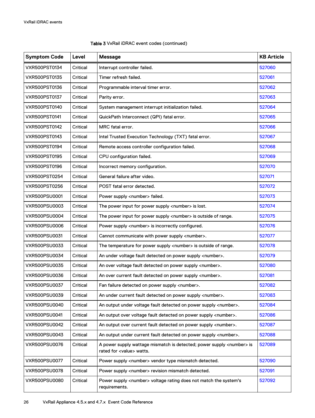| <b>Symptom Code</b>  | Level    | <b>Message</b>                                                                                                      | <b>KB Article</b> |
|----------------------|----------|---------------------------------------------------------------------------------------------------------------------|-------------------|
| <b>VXR500PST0134</b> | Critical | Interrupt controller failed.                                                                                        | 527060            |
| VXR500PST0135        | Critical | Timer refresh failed.                                                                                               | 527061            |
| VXR500PST0136        | Critical | Programmable interval timer error.                                                                                  | 527062            |
| VXR500PST0137        | Critical | Parity error.                                                                                                       | 527063            |
| VXR500PST0140        | Critical | System management interrupt initialization failed.                                                                  | 527064            |
| <b>VXR500PST0141</b> | Critical | QuickPath Interconnect (QPI) fatal error.                                                                           | 527065            |
| VXR500PST0142        | Critical | MRC fatal error.                                                                                                    | 527066            |
| VXR500PST0143        | Critical | Intel Trusted Execution Technology (TXT) fatal error.                                                               | 527067            |
| VXR500PST0194        | Critical | Remote access controller configuration failed.                                                                      | 527068            |
| <b>VXR500PST0195</b> | Critical | CPU configuration failed.                                                                                           | 527069            |
| VXR500PST0196        | Critical | Incorrect memory configuration.                                                                                     | 527070            |
| VXR500PST0254        | Critical | General failure after video.                                                                                        | 527071            |
| VXR500PST0256        | Critical | POST fatal error detected.                                                                                          | 527072            |
| VXR500PSU0001        | Critical | Power supply <number> failed.</number>                                                                              | 527073            |
| VXR500PSU0003        | Critical | The power input for power supply <number> is lost.</number>                                                         | 527074            |
| VXR500PSU0004        | Critical | The power input for power supply <number> is outside of range.</number>                                             | 527075            |
| <b>VXR500PSU0006</b> | Critical | Power supply <number> is incorrectly configured.</number>                                                           | 527076            |
| VXR500PSU0031        | Critical | Cannot communicate with power supply <number>.</number>                                                             | 527077            |
| VXR500PSU0033        | Critical | The temperature for power supply <number> is outside of range.</number>                                             | 527078            |
| VXR500PSU0034        | Critical | An under voltage fault detected on power supply <number>.</number>                                                  | 527079            |
| VXR500PSU0035        | Critical | An over voltage fault detected on power supply <number>.</number>                                                   | 527080            |
| VXR500PSU0036        | Critical | An over current fault detected on power supply <number>.</number>                                                   | 527081            |
| VXR500PSU0037        | Critical | Fan failure detected on power supply <number>.</number>                                                             | 527082            |
| VXR500PSU0039        | Critical | An under current fault detected on power supply <number>.</number>                                                  | 527083            |
| VXR500PSU0040        | Critical | An output under voltage fault detected on power supply <number>.</number>                                           | 527084            |
| VXR500PSU0041        | Critical | An output over voltage fault detected on power supply <number>.</number>                                            | 527086            |
| VXR500PSU0042        | Critical | An output over current fault detected on power supply <number>.</number>                                            | 527087            |
| VXR500PSU0043        | Critical | An output under current fault detected on power supply <number>.</number>                                           | 527088            |
| VXR500PSU0076        | Critical | A power supply wattage mismatch is detected; power supply <number> is<br/>rated for <value> watts.</value></number> | 527089            |
| VXR500PSU0077        | Critical | Power supply <number> vendor type mismatch detected.</number>                                                       | 527090            |
| <b>VXR500PSU0078</b> | Critical | Power supply <number> revision mismatch detected.</number>                                                          | 527091            |
| VXR500PSU0080        | Critical | Power supply <number> voltage rating does not match the system's<br/>requirements.</number>                         | 527092            |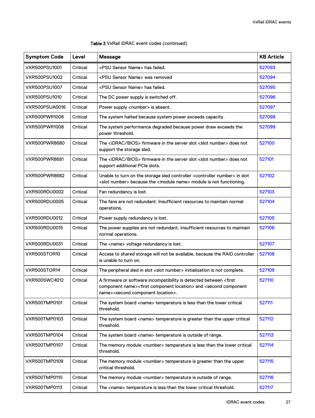| <b>Symptom Code</b>  | Level    | <b>Message</b>                                                                                                                                                                                                                      | <b>KB Article</b> |
|----------------------|----------|-------------------------------------------------------------------------------------------------------------------------------------------------------------------------------------------------------------------------------------|-------------------|
| <b>VXR500PSU1001</b> | Critical | <psu name="" sensor=""> has failed.</psu>                                                                                                                                                                                           | 527093            |
| <b>VXR500PSU1002</b> | Critical | <psu name="" sensor=""> was removed</psu>                                                                                                                                                                                           | 527094            |
| <b>VXR500PSU1007</b> | Critical | <psu name="" sensor=""> has failed.</psu>                                                                                                                                                                                           | 527095            |
| <b>VXR500PSU1010</b> | Critical | The DC power supply is switched off.                                                                                                                                                                                                | 527096            |
| VXR500PSUA0016       | Critical | Power supply <number> is absent.</number>                                                                                                                                                                                           | 527097            |
| VXR500PWR1006        | Critical | The system halted because system power exceeds capacity.                                                                                                                                                                            | 527098            |
| <b>VXR500PWR1008</b> | Critical | The system performance degraded because power draw exceeds the<br>power threshold.                                                                                                                                                  | 527099            |
| <b>VXR500PWR8680</b> | Critical | The <idrac bios=""> firmware in the server slot <slot number=""> does not<br/>support the storage sled.</slot></idrac>                                                                                                              | 527100            |
| <b>VXR500PWR8681</b> | Critical | The <idrac bios=""> firmware in the server slot <slot number=""> does not<br/>support additional PCIe slots.</slot></idrac>                                                                                                         | 527101            |
| <b>VXR500PWR8682</b> | Critical | Unable to turn on the storage sled controller <controller number=""> in slot<br/><slot number=""> because the <module name=""> module is not functioning.</module></slot></controller>                                              | 527102            |
| <b>VXR500RDU0002</b> | Critical | Fan redundancy is lost.                                                                                                                                                                                                             | 527103            |
| <b>VXR500RDU0005</b> | Critical | The fans are not redundant. Insufficient resources to maintain normal<br>operations.                                                                                                                                                | 527104            |
| <b>VXR500RDU0012</b> | Critical | Power supply redundancy is lost.                                                                                                                                                                                                    | 527105            |
| <b>VXR500RDU0015</b> | Critical | The power supplies are not redundant. Insufficient resources to maintain<br>normal operations.                                                                                                                                      | 527106            |
| VXR500RDU0031        | Critical | The <name> voltage redundancy is lost.</name>                                                                                                                                                                                       | 527107            |
| VXR500STOR10         | Critical | Access to shared storage will not be available, because the RAID controller<br>is unable to turn on.                                                                                                                                | 527108            |
| VXR500STOR14         | Critical | The peripheral sled in slot <slot number=""> initialization is not complete.</slot>                                                                                                                                                 | 527109            |
| <b>VXR500SWC4012</b> | Critical | A firmware or software incompatibility is detected between <first<br>component name&gt;<first component="" location=""> and <second component<br="">name&gt;<second component="" location="">.</second></second></first></first<br> | 527110            |
| <b>VXR500TMP0101</b> | Critical | The system board <name> temperature is less than the lower critical<br/>threshold.</name>                                                                                                                                           | 527111            |
| <b>VXR500TMP0103</b> | Critical | The system board <name> temperature is greater than the upper critical<br/>threshold.</name>                                                                                                                                        | 527112            |
| <b>VXR500TMP0104</b> | Critical | The system board <name> temperature is outside of range.</name>                                                                                                                                                                     | 527113            |
| <b>VXR500TMP0107</b> | Critical | The memory module <number> temperature is less than the lower critical<br/>threshold.</number>                                                                                                                                      | 527114            |
| <b>VXR500TMP0109</b> | Critical | The memory module <number> temperature is greater than the upper<br/>critical threshold.</number>                                                                                                                                   | 527115            |
| <b>VXR500TMP0110</b> | Critical | The memory module <number> temperature is outside of range.</number>                                                                                                                                                                | 527116            |
| <b>VXR500TMP0113</b> | Critical | The <name> temperature is less than the lower critical threshold.</name>                                                                                                                                                            | 527117            |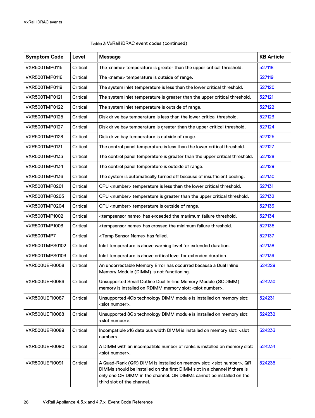| <b>Symptom Code</b>   | Level    | <b>Message</b>                                                                                                                                                                                                                                           | <b>KB Article</b> |
|-----------------------|----------|----------------------------------------------------------------------------------------------------------------------------------------------------------------------------------------------------------------------------------------------------------|-------------------|
| <b>VXR500TMP0115</b>  | Critical | The <name> temperature is greater than the upper critical threshold.</name>                                                                                                                                                                              | 527118            |
| <b>VXR500TMP0116</b>  | Critical | The <name> temperature is outside of range.</name>                                                                                                                                                                                                       | 527119            |
| <b>VXR500TMP0119</b>  | Critical | The system inlet temperature is less than the lower critical threshold.                                                                                                                                                                                  | 527120            |
| <b>VXR500TMP0121</b>  | Critical | The system inlet temperature is greater than the upper critical threshold.                                                                                                                                                                               | 527121            |
| VXR500TMP0122         | Critical | The system inlet temperature is outside of range.                                                                                                                                                                                                        | 527122            |
| <b>VXR500TMP0125</b>  | Critical | Disk drive bay temperature is less than the lower critical threshold.                                                                                                                                                                                    | 527123            |
| <b>VXR500TMP0127</b>  | Critical | Disk drive bay temperature is greater than the upper critical threshold.                                                                                                                                                                                 | 527124            |
| <b>VXR500TMP0128</b>  | Critical | Disk drive bay temperature is outside of range.                                                                                                                                                                                                          | 527125            |
| <b>VXR500TMP0131</b>  | Critical | The control panel temperature is less than the lower critical threshold.                                                                                                                                                                                 | 527127            |
| VXR500TMP0133         | Critical | The control panel temperature is greater than the upper critical threshold.                                                                                                                                                                              | 527128            |
| <b>VXR500TMP0134</b>  | Critical | The control panel temperature is outside of range.                                                                                                                                                                                                       | 527129            |
| <b>VXR500TMP0136</b>  | Critical | The system is automatically turned off because of insufficient cooling.                                                                                                                                                                                  | 527130            |
| <b>VXR500TMP0201</b>  | Critical | CPU <number> temperature is less than the lower critical threshold.</number>                                                                                                                                                                             | 527131            |
| VXR500TMP0203         | Critical | CPU <number> temperature is greater than the upper critical threshold.</number>                                                                                                                                                                          | 527132            |
| VXR500TMP0204         | Critical | CPU <number> temperature is outside of range.</number>                                                                                                                                                                                                   | 527133            |
| <b>VXR500TMP1002</b>  | Critical | <tempsensor name=""> has exceeded the maximum failure threshold.</tempsensor>                                                                                                                                                                            | 527134            |
| VXR500TMP1003         | Critical | <tempsensor name=""> has crossed the minimum failure threshold.</tempsensor>                                                                                                                                                                             | 527135            |
| VXR500TMP7            | Critical | <temp name="" sensor=""> has failed.</temp>                                                                                                                                                                                                              | 527137            |
| <b>VXR500TMPS0102</b> | Critical | Inlet temperature is above warning level for extended duration.                                                                                                                                                                                          | 527138            |
| VXR500TMPS0103        | Critical | Inlet temperature is above critical level for extended duration.                                                                                                                                                                                         | 527139            |
| <b>VXR500UEFI0058</b> | Critical | An uncorrectable Memory Error has occurred because a Dual Inline<br>Memory Module (DIMM) is not functioning.                                                                                                                                             | 524229            |
| <b>VXR500UEFI0086</b> | Critical | Unsupported Small Outline Dual In-line Memory Module (SODIMM)<br>memory is installed on RDIMM memory slot: < slot number>.                                                                                                                               | 524230            |
| <b>VXR500UEFI0087</b> | Critical | Unsupported 4Gb technology DIMM module is installed on memory slot:<br><slot number="">.</slot>                                                                                                                                                          | 524231            |
| <b>VXR500UEFI0088</b> | Critical | Unsupported 8Gb technology DIMM module is installed on memory slot:<br><slot number="">.</slot>                                                                                                                                                          | 524232            |
| <b>VXR500UEFI0089</b> | Critical | Incompatible x16 data bus width DIMM is installed on memory slot: < slot<br>number>.                                                                                                                                                                     | 524233            |
| VXR500UEFI0090        | Critical | A DIMM with an incompatible number of ranks is installed on memory slot:<br><slot number="">.</slot>                                                                                                                                                     | 524234            |
| <b>VXR500UEFI0091</b> | Critical | A Quad-Rank (QR) DIMM is installed on memory slot: < slot number>. QR<br>DIMMs should be installed on the first DIMM slot in a channel if there is<br>only one QR DIMM in the channel. QR DIMMs cannot be installed on the<br>third slot of the channel. | 524235            |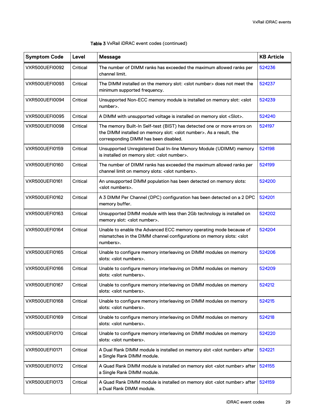| <b>Symptom Code</b>   | Level    | <b>Message</b>                                                                                                                                                                          | <b>KB Article</b> |
|-----------------------|----------|-----------------------------------------------------------------------------------------------------------------------------------------------------------------------------------------|-------------------|
| <b>VXR500UEFI0092</b> | Critical | The number of DIMM ranks has exceeded the maximum allowed ranks per<br>channel limit.                                                                                                   | 524236            |
| <b>VXR500UEFI0093</b> | Critical | The DIMM installed on the memory slot: < slot number> does not meet the<br>minimum supported frequency.                                                                                 | 524237            |
| <b>VXR500UEFI0094</b> | Critical | Unsupported Non-ECC memory module is installed on memory slot: < slot<br>number>.                                                                                                       | 524239            |
| <b>VXR500UEFI0095</b> | Critical | A DIMM with unsupported voltage is installed on memory slot <slot>.</slot>                                                                                                              | 524240            |
| <b>VXR500UEFI0098</b> | Critical | The memory Built-In Self-test (BIST) has detected one or more errors on<br>the DIMM installed on memory slot: < slot number>. As a result, the<br>corresponding DIMM has been disabled. | 524197            |
| <b>VXR500UEFI0159</b> | Critical | Unsupported Unregistered Dual In-line Memory Module (UDIMM) memory<br>is installed on memory slot: < slot number>.                                                                      | 524198            |
| <b>VXR500UEFI0160</b> | Critical | The number of DIMM ranks has exceeded the maximum allowed ranks per<br>channel limit on memory slots: < slot numbers>.                                                                  | 524199            |
| <b>VXR500UEFI0161</b> | Critical | An unsupported DIMM population has been detected on memory slots:<br><slot numbers="">.</slot>                                                                                          | 524200            |
| <b>VXR500UEFI0162</b> | Critical | A 3 DIMM Per Channel (DPC) configuration has been detected on a 2 DPC<br>memory buffer.                                                                                                 | 524201            |
| <b>VXR500UEFI0163</b> | Critical | Unsupported DIMM module with less than 2Gb technology is installed on<br>memory slot: < slot number>.                                                                                   | 524202            |
| <b>VXR500UEFI0164</b> | Critical | Unable to enable the Advanced ECC memory operating mode because of<br>mismatches in the DIMM channel configurations on memory slots: < slot<br>numbers>.                                | 524204            |
| <b>VXR500UEFI0165</b> | Critical | Unable to configure memory interleaving on DIMM modules on memory<br>slots: <slot numbers="">.</slot>                                                                                   | 524206            |
| <b>VXR500UEFI0166</b> | Critical | Unable to configure memory interleaving on DIMM modules on memory<br>slots: <slot numbers="">.</slot>                                                                                   | 524209            |
| <b>VXR500UEFI0167</b> | Critical | Unable to configure memory interleaving on DIMM modules on memory<br>slots: <slot numbers="">.</slot>                                                                                   | 524212            |
| <b>VXR500UEFI0168</b> | Critical | Unable to configure memory interleaving on DIMM modules on memory<br>slots: <slot numbers="">.</slot>                                                                                   | 524215            |
| <b>VXR500UEFI0169</b> | Critical | Unable to configure memory interleaving on DIMM modules on memory<br>slots: <slot numbers="">.</slot>                                                                                   | 524218            |
| <b>VXR500UEFI0170</b> | Critical | Unable to configure memory interleaving on DIMM modules on memory<br>slots: <slot numbers="">.</slot>                                                                                   | 524220            |
| <b>VXR500UEFI0171</b> | Critical | A Dual Rank DIMM module is installed on memory slot <slot number=""> after<br/>a Single Rank DIMM module.</slot>                                                                        | 524221            |
| <b>VXR500UEFI0172</b> | Critical | A Quad Rank DIMM module is installed on memory slot <slot number=""> after<br/>a Single Rank DIMM module.</slot>                                                                        | 524155            |
| <b>VXR500UEFI0173</b> | Critical | A Quad Rank DIMM module is installed on memory slot <slot number=""> after<br/>a Dual Rank DIMM module.</slot>                                                                          | 524159            |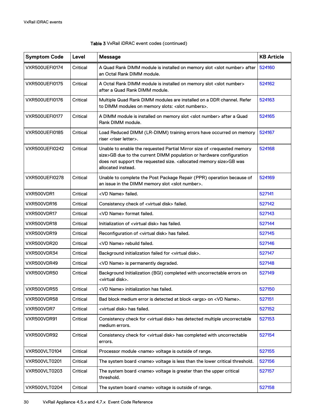| <b>Symptom Code</b>   | Level    | <b>Message</b>                                                                                                                                                                                                                                                         | <b>KB Article</b> |
|-----------------------|----------|------------------------------------------------------------------------------------------------------------------------------------------------------------------------------------------------------------------------------------------------------------------------|-------------------|
| <b>VXR500UEFI0174</b> | Critical | A Quad Rank DIMM module is installed on memory slot <slot number=""> after<br/>an Octal Rank DIMM module.</slot>                                                                                                                                                       | 524160            |
| <b>VXR500UEFI0175</b> | Critical | A Octal Rank DIMM module is installed on memory slot <slot number=""><br/>after a Quad Rank DIMM module.</slot>                                                                                                                                                        | 524162            |
| <b>VXR500UEFI0176</b> | Critical | Multiple Quad Rank DIMM modules are installed on a DDR channel. Refer<br>to DIMM modules on memory slots: < slot numbers>.                                                                                                                                             | 524163            |
| <b>VXR500UEFI0177</b> | Critical | A DIMM module is installed on memory slot <slot number=""> after a Quad<br/>Rank DIMM module.</slot>                                                                                                                                                                   | 524165            |
| <b>VXR500UEFI0185</b> | Critical | Load Reduced DIMM (LR-DIMM) training errors have occurred on memory<br>riser <riser letter="">.</riser>                                                                                                                                                                | 524167            |
| <b>VXR500UEFI0242</b> | Critical | Unable to enable the requested Partial Mirror size of <requested memory<br="">size&gt;GB due to the current DIMM population or hardware configuration<br/>does not support the requested size. &lt; allocated memory size&gt;GB was<br/>allocated instead.</requested> | 524168            |
| <b>VXR500UEFI0278</b> | Critical | Unable to complete the Post Package Repair (PPR) operation because of<br>an issue in the DIMM memory slot <slot number="">.</slot>                                                                                                                                     | 524169            |
| VXR500VDR1            | Critical | <vd name=""> failed.</vd>                                                                                                                                                                                                                                              | 527141            |
| VXR500VDR16           | Critical | Consistency check of <virtual disk=""> failed.</virtual>                                                                                                                                                                                                               | 527142            |
| VXR500VDR17           | Critical | <vd name=""> format failed.</vd>                                                                                                                                                                                                                                       | 527143            |
| VXR500VDR18           | Critical | Initialization of <virtual disk=""> has failed.</virtual>                                                                                                                                                                                                              | 527144            |
| VXR500VDR19           | Critical | Reconfiguration of <virtual disk=""> has failed.</virtual>                                                                                                                                                                                                             | 527145            |
| VXR500VDR20           | Critical | <vd name=""> rebuild failed.</vd>                                                                                                                                                                                                                                      | 527146            |
| VXR500VDR34           | Critical | Background initialization failed for <virtual disk="">.</virtual>                                                                                                                                                                                                      | 527147            |
| VXR500VDR49           | Critical | <vd name=""> is permanently degraded.</vd>                                                                                                                                                                                                                             | 527148            |
| VXR500VDR50           | Critical | Background Initialization (BGI) completed with uncorrectable errors on<br><virtual disk="">.</virtual>                                                                                                                                                                 | 527149            |
| VXR500VDR55           | Critical | <vd name=""> initialization has failed.</vd>                                                                                                                                                                                                                           | 527150            |
| VXR500VDR58           | Critical | Bad block medium error is detected at block <args> on <vd name="">.</vd></args>                                                                                                                                                                                        | 527151            |
| VXR500VDR7            | Critical | <virtual disk=""> has failed.</virtual>                                                                                                                                                                                                                                | 527152            |
| VXR500VDR91           | Critical | Consistency check for <virtual disk=""> has detected multiple uncorrectable<br/>medium errors.</virtual>                                                                                                                                                               | 527153            |
| <b>VXR500VDR92</b>    | Critical | Consistency check for <virtual disk=""> has completed with uncorrectable<br/>errors.</virtual>                                                                                                                                                                         | 527154            |
| <b>VXR500VLT0104</b>  | Critical | Processor module <name> voltage is outside of range.</name>                                                                                                                                                                                                            | 527155            |
| <b>VXR500VLT0201</b>  | Critical | The system board <name> voltage is less than the lower critical threshold.</name>                                                                                                                                                                                      | 527156            |
| VXR500VLT0203         | Critical | The system board <name> voltage is greater than the upper critical<br/>threshold.</name>                                                                                                                                                                               | 527157            |
| <b>VXR500VLT0204</b>  | Critical | The system board <name> voltage is outside of range.</name>                                                                                                                                                                                                            | 527158            |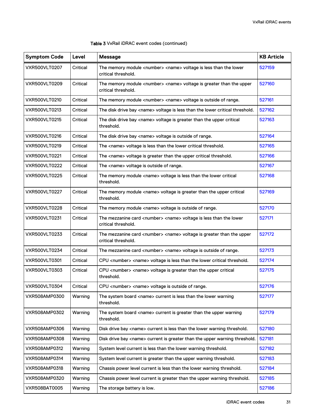| <b>Symptom Code</b>  | Level    | <b>Message</b>                                                                                               | <b>KB Article</b> |
|----------------------|----------|--------------------------------------------------------------------------------------------------------------|-------------------|
| <b>VXR500VLT0207</b> | Critical | The memory module <number> <name> voltage is less than the lower<br/>critical threshold.</name></number>     | 527159            |
| <b>VXR500VLT0209</b> | Critical | The memory module <number> <name> voltage is greater than the upper<br/>critical threshold.</name></number>  | 527160            |
| <b>VXR500VLT0210</b> | Critical | The memory module <number> <name> voltage is outside of range.</name></number>                               | 527161            |
| <b>VXR500VLT0213</b> | Critical | The disk drive bay <name> voltage is less than the lower critical threshold.</name>                          | 527162            |
| <b>VXR500VLT0215</b> | Critical | The disk drive bay <name> voltage is greater than the upper critical<br/>threshold.</name>                   | 527163            |
| <b>VXR500VLT0216</b> | Critical | The disk drive bay <name> voltage is outside of range.</name>                                                | 527164            |
| <b>VXR500VLT0219</b> | Critical | The <name> voltage is less than the lower critical threshold.</name>                                         | 527165            |
| <b>VXR500VLT0221</b> | Critical | The <name> voltage is greater than the upper critical threshold.</name>                                      | 527166            |
| <b>VXR500VLT0222</b> | Critical | The <name> voltage is outside of range.</name>                                                               | 527167            |
| <b>VXR500VLT0225</b> | Critical | The memory module <name> voltage is less than the lower critical<br/>threshold.</name>                       | 527168            |
| <b>VXR500VLT0227</b> | Critical | The memory module <name> voltage is greater than the upper critical<br/>threshold.</name>                    | 527169            |
| <b>VXR500VLT0228</b> | Critical | The memory module <name> voltage is outside of range.</name>                                                 | 527170            |
| <b>VXR500VLT0231</b> | Critical | The mezzanine card <number> <name> voltage is less than the lower<br/>critical threshold.</name></number>    | 527171            |
| VXR500VLT0233        | Critical | The mezzanine card <number> <name> voltage is greater than the upper<br/>critical threshold.</name></number> | 527172            |
| <b>VXR500VLT0234</b> | Critical | The mezzanine card <number> <name> voltage is outside of range.</name></number>                              | 527173            |
| <b>VXR500VLT0301</b> | Critical | CPU <number> <name> voltage is less than the lower critical threshold.</name></number>                       | 527174            |
| VXR500VLT0303        | Critical | CPU <number> <name> voltage is greater than the upper critical<br/>threshold.</name></number>                | 527175            |
| <b>VXR500VLT0304</b> | Critical | CPU <number> <name> voltage is outside of range.</name></number>                                             | 527176            |
| VXR508AMP0300        | Warning  | The system board <name> current is less than the lower warning<br/>threshold.</name>                         | 527177            |
| VXR508AMP0302        | Warning  | The system board <name> current is greater than the upper warning<br/>threshold.</name>                      | 527179            |
| VXR508AMP0306        | Warning  | Disk drive bay <name> current is less than the lower warning threshold.</name>                               | 527180            |
| VXR508AMP0308        | Warning  | Disk drive bay <name> current is greater than the upper warning threshold.</name>                            | 527181            |
| VXR508AMP0312        | Warning  | System level current is less than the lower warning threshold.                                               | 527182            |
| VXR508AMP0314        | Warning  | System level current is greater than the upper warning threshold.                                            | 527183            |
| VXR508AMP0318        | Warning  | Chassis power level current is less than the lower warning threshold.                                        | 527184            |
| VXR508AMP0320        | Warning  | Chassis power level current is greater than the upper warning threshold.                                     | 527185            |
| VXR508BAT0005        | Warning  | The storage battery is low.                                                                                  | 527186            |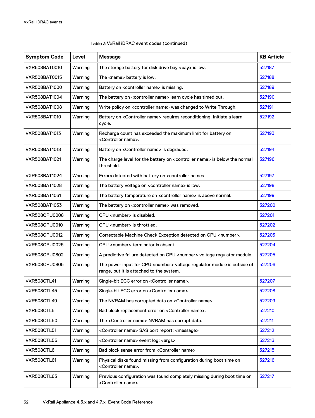| <b>Symptom Code</b>  | Level   | <b>Message</b>                                                                                                                | <b>KB Article</b> |
|----------------------|---------|-------------------------------------------------------------------------------------------------------------------------------|-------------------|
| VXR508BAT0010        | Warning | The storage battery for disk drive bay <bay> is low.</bay>                                                                    | 527187            |
| <b>VXR508BAT0015</b> | Warning | The <name> battery is low.</name>                                                                                             | 527188            |
| VXR508BAT1000        | Warning | Battery on <controller name=""> is missing.</controller>                                                                      | 527189            |
| VXR508BAT1004        | Warning | The battery on <controller name=""> learn cycle has timed out.</controller>                                                   | 527190            |
| <b>VXR508BAT1008</b> | Warning | Write policy on <controller name=""> was changed to Write Through.</controller>                                               | 527191            |
| VXR508BAT1010        | Warning | Battery on <controller name=""> requires reconditioning. Initiate a learn<br/>cycle.</controller>                             | 527192            |
| VXR508BAT1013        | Warning | Recharge count has exceeded the maximum limit for battery on<br><controller name="">.</controller>                            | 527193            |
| VXR508BAT1018        | Warning | Battery on <controller name=""> is degraded.</controller>                                                                     | 527194            |
| VXR508BAT1021        | Warning | The charge level for the battery on <controller name=""> is below the normal<br/>threshold.</controller>                      | 527196            |
| VXR508BAT1024        | Warning | Errors detected with battery on <controller name="">.</controller>                                                            | 527197            |
| <b>VXR508BAT1028</b> | Warning | The battery voltage on <controller name=""> is low.</controller>                                                              | 527198            |
| VXR508BAT1031        | Warning | The battery temperature on <controller name=""> is above normal.</controller>                                                 | 527199            |
| VXR508BAT1033        | Warning | The battery on <controller name=""> was removed.</controller>                                                                 | 527200            |
| VXR508CPU0008        | Warning | CPU <number> is disabled.</number>                                                                                            | 527201            |
| <b>VXR508CPU0010</b> | Warning | CPU <number> is throttled.</number>                                                                                           | 527202            |
| <b>VXR508CPU0012</b> | Warning | Correctable Machine Check Exception detected on CPU <number>.</number>                                                        | 527203            |
| <b>VXR508CPU0025</b> | Warning | CPU <number> terminator is absent.</number>                                                                                   | 527204            |
| <b>VXR508CPU0802</b> | Warning | A predictive failure detected on CPU <number> voltage regulator module.</number>                                              | 527205            |
| <b>VXR508CPU0805</b> | Warning | The power input for CPU <number> voltage regulator module is outside of<br/>range, but it is attached to the system.</number> | 527206            |
| <b>VXR508CTL41</b>   | Warning | Single-bit ECC error on <controller name="">.</controller>                                                                    | 527207            |
| <b>VXR508CTL45</b>   | Warning | Single-bit ECC error on <controller name="">.</controller>                                                                    | 527208            |
| <b>VXR508CTL49</b>   | Warning | The NVRAM has corrupted data on <controller name="">.</controller>                                                            | 527209            |
| VXR508CTL5           | Warning | Bad block replacement error on <controller name="">.</controller>                                                             | 527210            |
| <b>VXR508CTL50</b>   | Warning | The <controller name=""> NVRAM has corrupt data.</controller>                                                                 | 527211            |
| <b>VXR508CTL51</b>   | Warning | <controller name=""> SAS port report: <message></message></controller>                                                        | 527212            |
| <b>VXR508CTL55</b>   | Warning | <controller name=""> event log: <args></args></controller>                                                                    | 527213            |
| VXR508CTL6           | Warning | Bad block sense error from <controller name=""></controller>                                                                  | 527215            |
| <b>VXR508CTL61</b>   | Warning | Physical disks found missing from configuration during boot time on<br><controller name="">.</controller>                     | 527216            |
| <b>VXR508CTL63</b>   | Warning | Previous configuration was found completely missing during boot time on<br><controller name="">.</controller>                 | 527217            |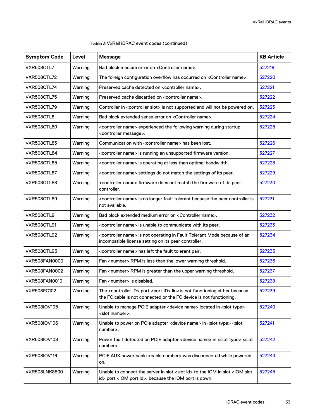| <b>Symptom Code</b>  | Level   | <b>Message</b>                                                                                                                                                             | <b>KB Article</b> |
|----------------------|---------|----------------------------------------------------------------------------------------------------------------------------------------------------------------------------|-------------------|
| VXR508CTL7           | Warning | Bad block medium error on <controller name="">.</controller>                                                                                                               | 527218            |
| <b>VXR508CTL72</b>   | Warning | The foreign configuration overflow has occurred on <controller name="">.</controller>                                                                                      | 527220            |
| <b>VXR508CTL74</b>   | Warning | Preserved cache detected on <controller name="">.</controller>                                                                                                             | 527221            |
| <b>VXR508CTL75</b>   | Warning | Preserved cache discarded on <controller name="">.</controller>                                                                                                            | 527222            |
| <b>VXR508CTL79</b>   | Warning | Controller in <controller slot=""> is not supported and will not be powered on.</controller>                                                                               | 527223            |
| VXR508CTL8           | Warning | Bad block extended sense error on <controller name="">.</controller>                                                                                                       | 527224            |
| <b>VXR508CTL80</b>   | Warning | <controller name=""> experienced the following warning during startup:<br/><controller message="">.</controller></controller>                                              | 527225            |
| <b>VXR508CTL83</b>   | Warning | Communication with <controller name=""> has been lost.</controller>                                                                                                        | 527226            |
| VXR508CTL84          | Warning | <controller name=""> is running an unsupported firmware version.</controller>                                                                                              | 527227            |
| <b>VXR508CTL85</b>   | Warning | <controller name=""> is operating at less than optimal bandwidth.</controller>                                                                                             | 527228            |
| <b>VXR508CTL87</b>   | Warning | <controller name=""> settings do not match the settings of its peer.</controller>                                                                                          | 527229            |
| <b>VXR508CTL88</b>   | Warning | <controller name=""> firmware does not match the firmware of its peer<br/>controller.</controller>                                                                         | 527230            |
| <b>VXR508CTL89</b>   | Warning | <controller name=""> is no longer fault tolerant because the peer controller is<br/>not available.</controller>                                                            | 527231            |
| VXR508CTL9           | Warning | Bad block extended medium error on <controller name="">.</controller>                                                                                                      | 527232            |
| <b>VXR508CTL91</b>   | Warning | <controller name=""> is unable to communicate with its peer.</controller>                                                                                                  | 527233            |
| <b>VXR508CTL92</b>   | Warning | <controller name=""> is not operating in Fault Tolerant Mode because of an<br/>incompatible license setting on its peer controller.</controller>                           | 527234            |
| <b>VXR508CTL95</b>   | Warning | <controller name=""> has left the fault tolerant pair.</controller>                                                                                                        | 527235            |
| <b>VXR508FAN0000</b> | Warning | Fan <number> RPM is less than the lower warning threshold.</number>                                                                                                        | 527236            |
| VXR508FAN0002        | Warning | Fan <number> RPM is greater than the upper warning threshold.</number>                                                                                                     | 527237            |
| VXR508FAN0010        | Warning | Fan <number> is disabled.</number>                                                                                                                                         | 527238            |
| <b>VXR508FC102</b>   | Warning | The <controller id=""> port <port id=""> link is not functioning either because<br/>the FC cable is not connected or the FC device is not functioning.</port></controller> | 527239            |
| <b>VXR508IOV105</b>  | Warning | Unable to manage PCIE adapter <device name=""> located in <slot type=""><br/><slot number="">.</slot></slot></device>                                                      | 527240            |
| <b>VXR508IOV106</b>  | Warning | Unable to power on PCIe adapter <device name=""> in <slot type=""> <slot<br>number&gt;.</slot<br></slot></device>                                                          | 527241            |
| <b>VXR508IOV108</b>  | Warning | Power fault detected on PCIE adapter < device name> in <slot type=""> <slot<br>number&gt;.</slot<br></slot>                                                                | 527242            |
| <b>VXR508IOV116</b>  | Warning | PCIE AUX power cable <cable number="">.was disconnected while powered<br/>on.</cable>                                                                                      | 527244            |
| <b>VXR508LNK8500</b> | Warning | Unable to connect the server in slot <slot id=""> to the IOM in slot <iom slot<br="">id&gt; port <iom id="" port="">, because the IOM port is down.</iom></iom></slot>     | 527245            |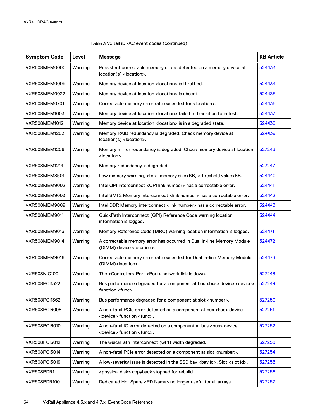| <b>Symptom Code</b>  | Level   | <b>Message</b>                                                                                                         | <b>KB Article</b> |
|----------------------|---------|------------------------------------------------------------------------------------------------------------------------|-------------------|
| VXR508MEM0000        | Warning | Persistent correctable memory errors detected on a memory device at<br>location(s) <location>.</location>              | 524433            |
| <b>VXR508MEM0009</b> | Warning | Memory device at location <location> is throttled.</location>                                                          | 524434            |
| <b>VXR508MEM0022</b> | Warning | Memory device at location <location> is absent.</location>                                                             | 524435            |
| <b>VXR508MEM0701</b> | Warning | Correctable memory error rate exceeded for <location>.</location>                                                      | 524436            |
| VXR508MEM1003        | Warning | Memory device at location <location> failed to transition to in test.</location>                                       | 524437            |
| VXR508MEM1012        | Warning | Memory device at location <location> is in a degraded state.</location>                                                | 524438            |
| <b>VXR508MEM1202</b> | Warning | Memory RAID redundancy is degraded. Check memory device at<br>location(s) <location>.</location>                       | 524439            |
| <b>VXR508MEM1206</b> | Warning | Memory mirror redundancy is degraded. Check memory device at location<br><location>.</location>                        | 527246            |
| <b>VXR508MEM1214</b> | Warning | Memory redundancy is degraded.                                                                                         | 527247            |
| VXR508MEM8501        | Warning | Low memory warning, <total memory="" size="">KB, <threshold value="">KB.</threshold></total>                           | 524440            |
| <b>VXR508MEM9002</b> | Warning | Intel QPI interconnect <qpi link="" number=""> has a correctable error.</qpi>                                          | 524441            |
| VXR508MEM9003        | Warning | Intel SMI 2 Memory interconnect <link number=""/> has a correctable error.                                             | 524442            |
| VXR508MEM9009        | Warning | Intel DDR Memory interconnect <link number=""/> has a correctable error.                                               | 524443            |
| VXR508MEM9011        | Warning | QuickPath Interconnect (QPI) Reference Code warning location<br>information is logged.                                 | 524444            |
| <b>VXR508MEM9013</b> | Warning | Memory Reference Code (MRC) warning location information is logged.                                                    | 524471            |
| VXR508MEM9014        | Warning | A correctable memory error has occurred in Dual In-line Memory Module<br>(DIMM) device <location>.</location>          | 524472            |
| <b>VXR508MEM9016</b> | Warning | Correctable memory error rate exceeded for Dual In-line Memory Module<br>(DIMM) <location>.</location>                 | 524473            |
| <b>VXR508NIC100</b>  | Warning | The <controller> Port <port> network link is down.</port></controller>                                                 | 527248            |
| <b>VXR508PCI1322</b> | Warning | Bus performance degraded for a component at bus <bus> device <device><br/>function <func>.</func></device></bus>       | 527249            |
| <b>VXR508PCI1362</b> | Warning | Bus performance degraded for a component at slot <number>.</number>                                                    | 527250            |
| VXR508PCI3008        | Warning | A non-fatal PCIe error detected on a component at bus <bus> device<br/><device> function <func>.</func></device></bus> | 527251            |
| <b>VXR508PCI3010</b> | Warning | A non-fatal IO error detected on a component at bus <bus> device<br/><device> function <func>.</func></device></bus>   | 527252            |
| <b>VXR508PCI3012</b> | Warning | The QuickPath Interconnect (QPI) width degraded.                                                                       | 527253            |
| <b>VXR508PCI3014</b> | Warning | A non-fatal PCIe error detected on a component at slot <number>.</number>                                              | 527254            |
| <b>VXR508PCI3019</b> | Warning | A low-severity issue is detected in the SSD bay <bay id="">, Slot <slot id="">.</slot></bay>                           | 527255            |
| VXR508PDR1           | Warning | <physical disk=""> copyback stopped for rebuild.</physical>                                                            | 527256            |
| <b>VXR508PDR100</b>  | Warning | Dedicated Hot Spare <pd name=""> no longer useful for all arrays.</pd>                                                 | 527257            |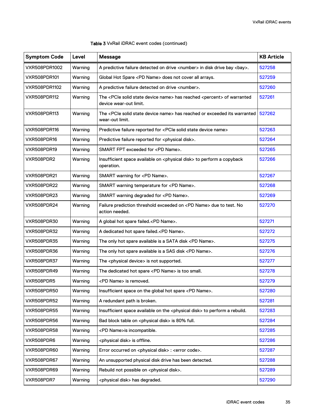| <b>Symptom Code</b>  | Level   | <b>Message</b>                                                                                                                | <b>KB Article</b> |
|----------------------|---------|-------------------------------------------------------------------------------------------------------------------------------|-------------------|
| <b>VXR508PDR1002</b> | Warning | A predictive failure detected on drive <number> in disk drive bay <bay>.</bay></number>                                       | 527258            |
| <b>VXR508PDR101</b>  | Warning | Global Hot Spare <pd name=""> does not cover all arrays.</pd>                                                                 | 527259            |
| <b>VXR508PDR1102</b> | Warning | A predictive failure detected on drive <number>.</number>                                                                     | 527260            |
| <b>VXR508PDR112</b>  | Warning | The <pcie device="" name="" solid="" state=""> has reached <percent> of warranted<br/>device wear-out limit.</percent></pcie> | 527261            |
| <b>VXR508PDR113</b>  | Warning | The <pcie device="" name="" solid="" state=""> has reached or exceeded its warranted<br/>wear-out limit.</pcie>               | 527262            |
| <b>VXR508PDR116</b>  | Warning | Predictive failure reported for <pcie device="" name="" solid="" state=""></pcie>                                             | 527263            |
| VXR508PDR16          | Warning | Predictive failure reported for <physical disk="">.</physical>                                                                | 527264            |
| VXR508PDR19          | Warning | SMART FPT exceeded for <pd name="">.</pd>                                                                                     | 527265            |
| VXR508PDR2           | Warning | Insufficient space available on <physical disk=""> to perform a copyback<br/>operation.</physical>                            | 527266            |
| VXR508PDR21          | Warning | SMART warning for <pd name="">.</pd>                                                                                          | 527267            |
| <b>VXR508PDR22</b>   | Warning | SMART warning temperature for <pd name="">.</pd>                                                                              | 527268            |
| VXR508PDR23          | Warning | SMART warning degraded for <pd name="">.</pd>                                                                                 | 527269            |
| VXR508PDR24          | Warning | Failure prediction threshold exceeded on <pd name=""> due to test. No<br/>action needed.</pd>                                 | 527270            |
| VXR508PDR30          | Warning | A global hot spare failed. <pd name="">.</pd>                                                                                 | 527271            |
| <b>VXR508PDR32</b>   | Warning | A dedicated hot spare failed. <pd name="">.</pd>                                                                              | 527272            |
| VXR508PDR35          | Warning | The only hot spare available is a SATA disk <pd name="">.</pd>                                                                | 527275            |
| VXR508PDR36          | Warning | The only hot spare available is a SAS disk <pd name="">.</pd>                                                                 | 527276            |
| VXR508PDR37          | Warning | The <physical device=""> is not supported.</physical>                                                                         | 527277            |
| VXR508PDR49          | Warning | The dedicated hot spare <pd name=""> is too small.</pd>                                                                       | 527278            |
| VXR508PDR5           | Warning | <pd name=""> is removed.</pd>                                                                                                 | 527279            |
| VXR508PDR50          | Warning | Insufficient space on the global hot spare <pd name="">.</pd>                                                                 | 527280            |
| VXR508PDR52          | Warning | A redundant path is broken.                                                                                                   | 527281            |
| VXR508PDR55          | Warning | Insufficient space available on the <physical disk=""> to perform a rebuild.</physical>                                       | 527283            |
| VXR508PDR56          | Warning | Bad block table on <physical disk=""> is 80% full.</physical>                                                                 | 527284            |
| VXR508PDR58          | Warning | <pd name="">is incompatible.</pd>                                                                                             | 527285            |
| VXR508PDR6           | Warning | <physical disk=""> is offline.</physical>                                                                                     | 527286            |
| VXR508PDR60          | Warning | Error occurred on <physical disk=""> : <error code="">.</error></physical>                                                    | 527287            |
| VXR508PDR67          | Warning | An unsupported physical disk drive has been detected.                                                                         | 527288            |
| VXR508PDR69          | Warning | Rebuild not possible on <physical disk="">.</physical>                                                                        | 527289            |
| VXR508PDR7           | Warning | <physical disk=""> has degraded.</physical>                                                                                   | 527290            |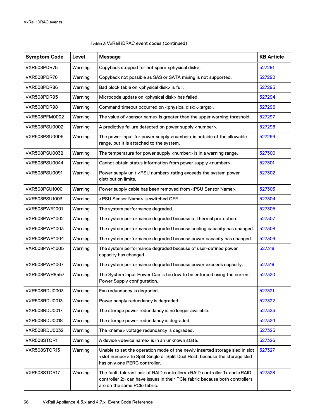| <b>Symptom Code</b>  | Level   | <b>Message</b>                                                                                                                                                                                                      | <b>KB Article</b> |
|----------------------|---------|---------------------------------------------------------------------------------------------------------------------------------------------------------------------------------------------------------------------|-------------------|
| VXR508PDR75          | Warning | Copyback stopped for hot spare <physical disk="">.</physical>                                                                                                                                                       | 527291            |
| VXR508PDR76          | Warning | Copyback not possible as SAS or SATA mixing is not supported.                                                                                                                                                       | 527292            |
| VXR508PDR86          | Warning | Bad block table on <physical disk=""> is full.</physical>                                                                                                                                                           | 527293            |
| VXR508PDR95          | Warning | Microcode update on <physical disk=""> has failed.</physical>                                                                                                                                                       | 527294            |
| VXR508PDR98          | Warning | Command timeout occurred on <physical disk="">.<args>.</args></physical>                                                                                                                                            | 527296            |
| VXR508PFM0002        | Warning | The value of <sensor name=""> is greater than the upper warning threshold.</sensor>                                                                                                                                 | 527297            |
| <b>VXR508PSU0002</b> | Warning | A predictive failure detected on power supply <number>.</number>                                                                                                                                                    | 527298            |
| VXR508PSU0005        | Warning | The power input for power supply <number> is outside of the allowable<br/>range, but it is attached to the system.</number>                                                                                         | 527299            |
| <b>VXR508PSU0032</b> | Warning | The temperature for power supply <number> is in a warning range.</number>                                                                                                                                           | 527300            |
| VXR508PSU0044        | Warning | Cannot obtain status information from power supply <number>.</number>                                                                                                                                               | 527301            |
| VXR508PSU0091        | Warning | Power supply unit <psu number=""> rating exceeds the system power<br/>distribution limits.</psu>                                                                                                                    | 527302            |
| VXR508PSU1000        | Warning | Power supply cable has been removed from <psu name="" sensor="">.</psu>                                                                                                                                             | 527303            |
| VXR508PSU1003        | Warning | <psu name="" sensor=""> is switched OFF.</psu>                                                                                                                                                                      | 527304            |
| <b>VXR508PWR1001</b> | Warning | The system performance degraded.                                                                                                                                                                                    | 527305            |
| VXR508PWR1002        | Warning | The system performance degraded because of thermal protection.                                                                                                                                                      | 527307            |
| <b>VXR508PWR1003</b> | Warning | The system performance degraded because cooling capacity has changed.                                                                                                                                               | 527308            |
| VXR508PWR1004        | Warning | The system performance degraded because power capacity has changed.                                                                                                                                                 | 527309            |
| <b>VXR508PWR1005</b> | Warning | The system performance degraded because of user-defined power<br>capacity has changed.                                                                                                                              | 527318            |
| VXR508PWR1007        | Warning | The system performance degraded because power exceeds capacity.                                                                                                                                                     | 527319            |
| VXR508PWR8557        | Warning | The System Input Power Cap is too low to be enforced using the current<br>Power Supply configuration.                                                                                                               | 527320            |
| VXR508RDU0003        | Warning | Fan redundancy is degraded.                                                                                                                                                                                         | 527321            |
| <b>VXR508RDU0013</b> | Warning | Power supply redundancy is degraded.                                                                                                                                                                                | 527322            |
| VXR508RDU0017        | Warning | The storage power redundancy is no longer available.                                                                                                                                                                | 527323            |
| <b>VXR508RDU0018</b> | Warning | The storage power redundancy is degraded.                                                                                                                                                                           | 527324            |
| <b>VXR508RDU0032</b> | Warning | The <name> voltage redundancy is degraded.</name>                                                                                                                                                                   | 527325            |
| VXR508STOR1          | Warning | A device < device name> is in an unknown state.                                                                                                                                                                     | 527326            |
| VXR508STOR13         | Warning | Unable to set the operation mode of the newly inserted storage sled in slot<br><slot number=""> to Split Single or Split Dual Host, because the storage sled<br/>has only one PERC controller.</slot>               | 527327            |
| VXR508STOR17         | Warning | The fault-tolerant pair of RAID controllers <raid 1="" controller=""> and <raid<br>controller 2&gt; can have issues in their PCIe fabric because both controllers<br/>are on the same PCIe fabric.</raid<br></raid> | 527328            |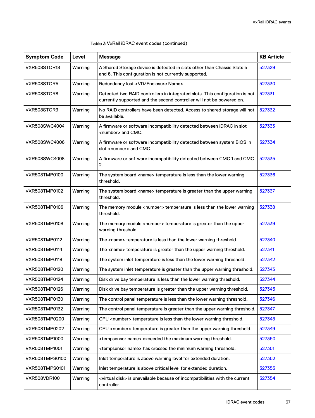| <b>Symptom Code</b>   | Level   | <b>Message</b>                                                                                                                                        | <b>KB Article</b> |
|-----------------------|---------|-------------------------------------------------------------------------------------------------------------------------------------------------------|-------------------|
| VXR508STOR18          | Warning | A Shared Storage device is detected in slots other than Chassis Slots 5<br>and 6. This configuration is not currently supported.                      | 527329            |
| VXR508STOR5           | Warning | Redundancy lost. <vd enclosure="" name=""></vd>                                                                                                       | 527330            |
| VXR508STOR8           | Warning | Detected two RAID controllers in integrated slots. This configuration is not<br>currently supported and the second controller will not be powered on. | 527331            |
| VXR508STOR9           | Warning | No RAID controllers have been detected. Access to shared storage will not<br>be available.                                                            | 527332            |
| <b>VXR508SWC4004</b>  | Warning | A firmware or software incompatibility detected between iDRAC in slot<br><number> and CMC.</number>                                                   | 527333            |
| VXR508SWC4006         | Warning | A firmware or software incompatibility detected between system BIOS in<br>slot <number> and CMC.</number>                                             | 527334            |
| <b>VXR508SWC4008</b>  | Warning | A firmware or software incompatibility detected between CMC 1 and CMC<br>2.                                                                           | 527335            |
| VXR508TMP0100         | Warning | The system board <name> temperature is less than the lower warning<br/>threshold.</name>                                                              | 527336            |
| VXR508TMP0102         | Warning | The system board <name> temperature is greater than the upper warning<br/>threshold.</name>                                                           | 527337            |
| VXR508TMP0106         | Warning | The memory module <number> temperature is less than the lower warning<br/>threshold.</number>                                                         | 527338            |
| <b>VXR508TMP0108</b>  | Warning | The memory module <number> temperature is greater than the upper<br/>warning threshold.</number>                                                      | 527339            |
| <b>VXR508TMP0112</b>  | Warning | The <name> temperature is less than the lower warning threshold.</name>                                                                               | 527340            |
| <b>VXR508TMP0114</b>  | Warning | The <name> temperature is greater than the upper warning threshold.</name>                                                                            | 527341            |
| <b>VXR508TMP0118</b>  | Warning | The system inlet temperature is less than the lower warning threshold.                                                                                | 527342            |
| <b>VXR508TMP0120</b>  | Warning | The system inlet temperature is greater than the upper warning threshold.                                                                             | 527343            |
| <b>VXR508TMP0124</b>  | Warning | Disk drive bay temperature is less than the lower warning threshold.                                                                                  | 527344            |
| VXR508TMP0126         | Warning | Disk drive bay temperature is greater than the upper warning threshold.                                                                               | 527345            |
| VXR508TMP0130         | Warning | The control panel temperature is less than the lower warning threshold.                                                                               | 527346            |
| VXR508TMP0132         | Warning | The control panel temperature is greater than the upper warning threshold.                                                                            | 527347            |
| VXR508TMP0200         | Warning | CPU <number> temperature is less than the lower warning threshold.</number>                                                                           | 527348            |
| VXR508TMP0202         | Warning | CPU <number> temperature is greater than the upper warning threshold.</number>                                                                        | 527349            |
| VXR508TMP1000         | Warning | <tempsensor name=""> exceeded the maximum warning threshold.</tempsensor>                                                                             | 527350            |
| VXR508TMP1001         | Warning | <tempsensor name=""> has crossed the minimum warning threshold.</tempsensor>                                                                          | 527351            |
| VXR508TMPS0100        | Warning | Inlet temperature is above warning level for extended duration.                                                                                       | 527352            |
| <b>VXR508TMPS0101</b> | Warning | Inlet temperature is above critical level for extended duration.                                                                                      | 527353            |
| <b>VXR508VDR100</b>   | Warning | <virtual disk=""> is unavailable because of incompatibilities with the current<br/>controller.</virtual>                                              | 527354            |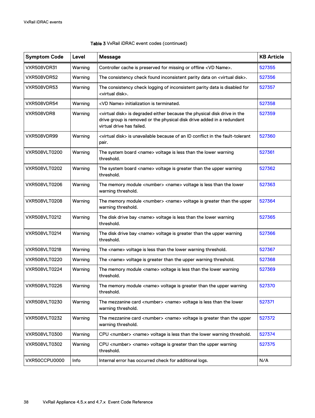| <b>Symptom Code</b>  | Level   | <b>Message</b>                                                                                                                                                                                 | <b>KB Article</b> |
|----------------------|---------|------------------------------------------------------------------------------------------------------------------------------------------------------------------------------------------------|-------------------|
| VXR508VDR31          | Warning | Controller cache is preserved for missing or offline <vd name="">.</vd>                                                                                                                        | 527355            |
| <b>VXR508VDR52</b>   | Warning | The consistency check found inconsistent parity data on <virtual disk="">.</virtual>                                                                                                           | 527356            |
| VXR508VDR53          | Warning | The consistency check logging of inconsistent parity data is disabled for<br><virtual disk="">.</virtual>                                                                                      | 527357            |
| VXR508VDR54          | Warning | <vd name=""> initialization is terminated.</vd>                                                                                                                                                | 527358            |
| VXR508VDR8           | Warning | <virtual disk=""> is degraded either because the physical disk drive in the<br/>drive group is removed or the physical disk drive added in a redundant<br/>virtual drive has failed.</virtual> | 527359            |
| <b>VXR508VDR99</b>   | Warning | <virtual disk=""> is unavailable because of an ID conflict in the fault-tolerant<br/>pair.</virtual>                                                                                           | 527360            |
| VXR508VLT0200        | Warning | The system board <name> voltage is less than the lower warning<br/>threshold.</name>                                                                                                           | 527361            |
| <b>VXR508VLT0202</b> | Warning | The system board <name> voltage is greater than the upper warning<br/>threshold.</name>                                                                                                        | 527362            |
| VXR508VLT0206        | Warning | The memory module <number> <name> voltage is less than the lower<br/>warning threshold.</name></number>                                                                                        | 527363            |
| <b>VXR508VLT0208</b> | Warning | The memory module <number> <name> voltage is greater than the upper<br/>warning threshold.</name></number>                                                                                     | 527364            |
| <b>VXR508VLT0212</b> | Warning | The disk drive bay <name> voltage is less than the lower warning<br/>threshold.</name>                                                                                                         | 527365            |
| <b>VXR508VLT0214</b> | Warning | The disk drive bay <name> voltage is greater than the upper warning<br/>threshold.</name>                                                                                                      | 527366            |
| <b>VXR508VLT0218</b> | Warning | The <name> voltage is less than the lower warning threshold.</name>                                                                                                                            | 527367            |
| <b>VXR508VLT0220</b> | Warning | The <name> voltage is greater than the upper warning threshold.</name>                                                                                                                         | 527368            |
| <b>VXR508VLT0224</b> | Warning | The memory module <name> voltage is less than the lower warning<br/>threshold.</name>                                                                                                          | 527369            |
| VXR508VLT0226        | Warning | The memory module <name> voltage is greater than the upper warning<br/>threshold.</name>                                                                                                       | 527370            |
| VXR508VLT0230        | Warning | The mezzanine card <number> <name> voltage is less than the lower<br/>warning threshold.</name></number>                                                                                       | 527371            |
| VXR508VLT0232        | Warning | The mezzanine card <number> <name> voltage is greater than the upper<br/>warning threshold.</name></number>                                                                                    | 527372            |
| VXR508VLT0300        | Warning | CPU <number> <name> voltage is less than the lower warning threshold.</name></number>                                                                                                          | 527374            |
| VXR508VLT0302        | Warning | CPU <number> <name> voltage is greater than the upper warning<br/>threshold.</name></number>                                                                                                   | 527375            |
| VXR50CCPU0000        | Info    | Internal error has occurred check for additional logs.                                                                                                                                         | N/A               |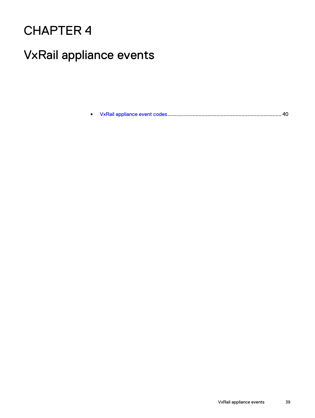# <span id="page-38-0"></span>CHAPTER 4

# VxRail appliance events

<sup>l</sup> [VxRail appliance event codes](#page-39-0)............................................................................. 40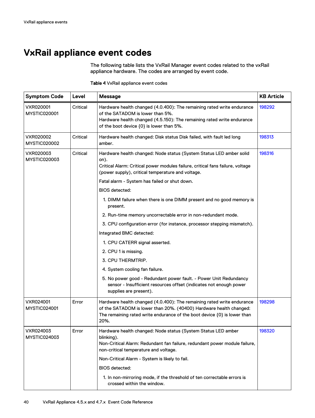## <span id="page-39-0"></span>**VxRail appliance event codes**

The following table lists the VxRail Manager event codes related to the vxRail appliance hardware. The codes are arranged by event code.

|  | Table 4 VxRail appliance event codes |
|--|--------------------------------------|
|--|--------------------------------------|

| <b>Symptom Code</b>       | Level    | <b>Message</b>                                                                                                                                                                                                                   | <b>KB Article</b> |
|---------------------------|----------|----------------------------------------------------------------------------------------------------------------------------------------------------------------------------------------------------------------------------------|-------------------|
| VXR020001<br>MYSTIC020001 | Critical | Hardware health changed (4.0.400): The remaining rated write endurance<br>of the SATADOM is lower than 5%.<br>Hardware health changed (4.5.150): The remaining rated write endurance<br>of the boot device {0} is lower than 5%. | 198292            |
| VXR020002<br>MYSTIC020002 | Critical | Hardware health changed: Disk status Disk failed, with fault led long<br>amber.                                                                                                                                                  | 198313            |
| VXR020003<br>MYSTIC020003 | Critical | Hardware health changed: Node status (System Status LED amber solid<br>on).<br>Critical Alarm: Critical power modules failure, critical fans failure, voltage<br>(power supply), critical temperature and voltage.               | 198316            |
|                           |          | Fatal alarm - System has failed or shut down.                                                                                                                                                                                    |                   |
|                           |          | <b>BIOS</b> detected:                                                                                                                                                                                                            |                   |
|                           |          | 1. DIMM failure when there is one DIMM present and no good memory is<br>present.                                                                                                                                                 |                   |
|                           |          | 2. Run-time memory uncorrectable error in non-redundant mode.                                                                                                                                                                    |                   |
|                           |          | 3. CPU configuration error (for instance, processor stepping mismatch).                                                                                                                                                          |                   |
|                           |          | Integrated BMC detected:                                                                                                                                                                                                         |                   |
|                           |          | 1. CPU CATERR signal asserted.                                                                                                                                                                                                   |                   |
|                           |          | 2. CPU 1 is missing.                                                                                                                                                                                                             |                   |
|                           |          | 3. CPU THERMTRIP.                                                                                                                                                                                                                |                   |
|                           |          | 4. System cooling fan failure.                                                                                                                                                                                                   |                   |
|                           |          | 5. No power good - Redundant power fault. - Power Unit Redundancy<br>sensor - Insufficient resources offset (indicates not enough power<br>supplies are present).                                                                |                   |
| VXR024001<br>MYSTIC024001 | Error    | Hardware health changed (4.0.400): The remaining rated write endurance<br>of the SATADOM is lower than 20%. (40400) Hardware health changed:<br>The remaining rated write endurance of the boot device {0} is lower than<br>20%. | 198298            |
| VXR024003<br>MYSTIC024003 | Error    | Hardware health changed: Node status (System Status LED amber<br>blinking).<br>Non-Critical Alarm: Redundant fan failure, redundant power module failure,<br>non-critical temperature and voltage.                               | 198320            |
|                           |          | Non-Critical Alarm - System is likely to fail.                                                                                                                                                                                   |                   |
|                           |          | <b>BIOS</b> detected:                                                                                                                                                                                                            |                   |
|                           |          | 1. In non-mirroring mode, if the threshold of ten correctable errors is<br>crossed within the window.                                                                                                                            |                   |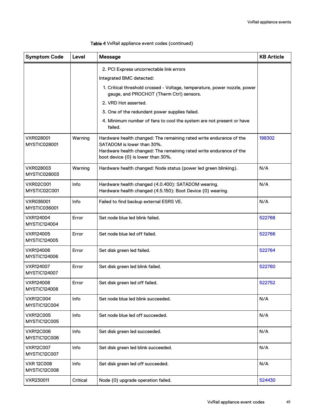| <b>Symptom Code</b>               | Level    | <b>Message</b>                                                                                                                                                                                                 | <b>KB Article</b> |
|-----------------------------------|----------|----------------------------------------------------------------------------------------------------------------------------------------------------------------------------------------------------------------|-------------------|
|                                   |          | 2. PCI Express uncorrectable link errors                                                                                                                                                                       |                   |
|                                   |          | Integrated BMC detected:                                                                                                                                                                                       |                   |
|                                   |          | 1. Critical threshold crossed - Voltage, temperature, power nozzle, power<br>gauge, and PROCHOT (Therm Ctrl) sensors.                                                                                          |                   |
|                                   |          | 2. VRD Hot asserted.                                                                                                                                                                                           |                   |
|                                   |          | 3. One of the redundant power supplies failed.                                                                                                                                                                 |                   |
|                                   |          | 4. Minimum number of fans to cool the system are not present or have<br>failed.                                                                                                                                |                   |
| VXR028001<br>MYSTIC028001         | Warning  | Hardware health changed: The remaining rated write endurance of the<br>SATADOM is lower than 30%.<br>Hardware health changed: The remaining rated write endurance of the<br>boot device {0} is lower than 30%. | 198302            |
| VXR028003<br>MYSTIC028003         | Warning  | Hardware health changed: Node status (power led green blinking).                                                                                                                                               | N/A               |
| <b>VXR02C001</b><br>MYSTIC02C001  | Info     | Hardware health changed (4.0.400): SATADOM wearing.<br>Hardware health changed (4.5.150): Boot Device {0} wearing.                                                                                             | N/A               |
| VXR036001<br>MYSTIC036001         | Info     | Failed to find backup external ESRS VE.                                                                                                                                                                        | N/A               |
| VXR124004<br><b>MYSTIC124004</b>  | Error    | Set node blue led blink failed.                                                                                                                                                                                | 522768            |
| VXR124005<br><b>MYSTIC124005</b>  | Error    | Set node blue led off failed.                                                                                                                                                                                  | 522766            |
| VXR124006<br>MYSTIC124006         | Error    | Set disk green led failed.                                                                                                                                                                                     | 522764            |
| VXR124007<br>MYSTIC124007         | Error    | Set disk green led blink failed.                                                                                                                                                                               | 522760            |
| VXR124008<br>MYSTIC124008         | Error    | Set disk green led off failed.                                                                                                                                                                                 | 522752            |
| <b>VXR12C004</b><br>MYSTIC12C004  | Info     | Set node blue led blink succeeded.                                                                                                                                                                             | N/A               |
| <b>VXR12C005</b><br>MYSTIC12C005  | Info     | Set node blue led off succeeded.                                                                                                                                                                               | N/A               |
| <b>VXR12C006</b><br>MYSTIC12C006  | Info     | Set disk green led succeeded.                                                                                                                                                                                  | N/A               |
| <b>VXR12C007</b><br>MYSTIC12C007  | Info     | Set disk green led blink succeeded.                                                                                                                                                                            | N/A               |
| <b>VXR 12C008</b><br>MYSTIC12C008 | Info     | Set disk green led off succeeded.                                                                                                                                                                              | N/A               |
| VXR230011                         | Critical | Node {0} upgrade operation failed.                                                                                                                                                                             | 524430            |

Table 4 VxRail appliance event codes (continued)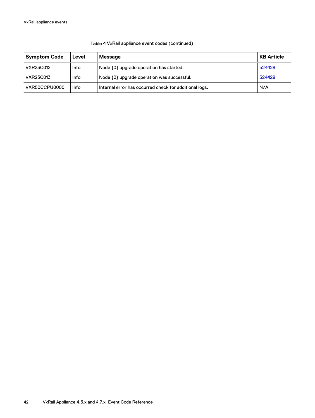| <b>Symptom Code</b> | Level | <b>Message</b>                                         | <b>KB Article</b> |
|---------------------|-------|--------------------------------------------------------|-------------------|
| <b>VXR23C012</b>    | Info  | Node {0} upgrade operation has started.                | 524428            |
| <b>VXR23C013</b>    | Info  | Node {0} upgrade operation was successful.             | 524429            |
| VXR50CCPU0000       | Info  | Internal error has occurred check for additional logs. | N/A               |

#### Table 4 VxRail appliance event codes (continued)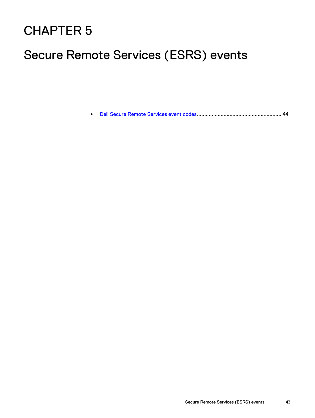# <span id="page-42-0"></span>CHAPTER 5

# Secure Remote Services (ESRS) events

<sup>l</sup> [Dell Secure Remote Services event codes](#page-43-0)......................................................... 44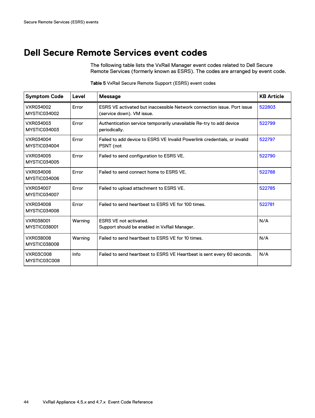## <span id="page-43-0"></span>**Dell Secure Remote Services event codes**

The following table lists the VxRail Manager event codes related to Dell Secure Remote Services (formerly known as ESRS). The codes are arranged by event code.

| <b>Symptom Code</b>              | Level   | <b>Message</b>                                                                                       | <b>KB Article</b> |
|----------------------------------|---------|------------------------------------------------------------------------------------------------------|-------------------|
| VXR034002<br>MYSTIC034002        | Error   | ESRS VE activated but inaccessible Network connection issue. Port issue<br>(service down). VM issue. | 522803            |
| VXR034003<br>MYSTIC034003        | Error   | Authentication service temporarily unavailable Re-try to add device<br>periodically.                 | 522799            |
| VXR034004<br>MYSTIC034004        | Error   | Failed to add device to ESRS VE Invalid Powerlink credentials, or invalid<br>PSNT (not               | 522797            |
| VXR034005<br>MYSTIC034005        | Error   | Failed to send configuration to ESRS VE.                                                             | 522790            |
| VXR034006<br>MYSTIC034006        | Error   | Failed to send connect home to ESRS VE.                                                              | 522788            |
| VXR034007<br><b>MYSTIC034007</b> | Error   | Failed to upload attachment to ESRS VE.                                                              | 522785            |
| VXR034008<br><b>MYSTIC034008</b> | Error   | Failed to send heartbeat to ESRS VE for 100 times.                                                   | 522781            |
| VXR038001<br>MYSTIC038001        | Warning | <b>ESRS VE not activated.</b><br>Support should be enabled in VxRail Manager.                        | N/A               |
| VXR038008<br>MYSTIC038008        | Warning | Failed to send heartbeat to ESRS VE for 10 times.                                                    | N/A               |
| <b>VXR03C008</b><br>MYSTIC03C008 | Info    | Failed to send heartbeat to ESRS VE Heartbeat is sent every 60 seconds.                              | N/A               |

Table 5 VxRail Secure Remote Support (ESRS) event codes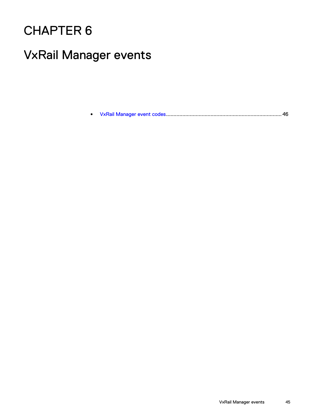# <span id="page-44-0"></span>CHAPTER 6

VxRail Manager events

<sup>l</sup> [VxRail Manager event codes](#page-45-0).............................................................................. 46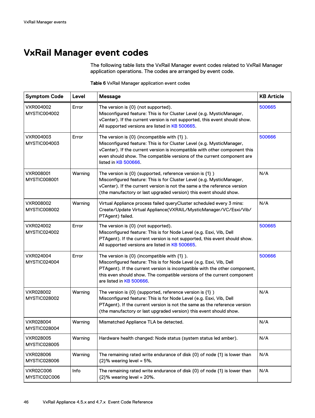## <span id="page-45-0"></span>**VxRail Manager event codes**

The following table lists the VxRail Manager event codes related to VxRail Manager application operations. The codes are arranged by event code.

| <b>Symptom Code</b>                     | Level   | <b>Message</b>                                                                                                                                                                                                                                                                                                   | <b>KB Article</b> |
|-----------------------------------------|---------|------------------------------------------------------------------------------------------------------------------------------------------------------------------------------------------------------------------------------------------------------------------------------------------------------------------|-------------------|
| VXR004002<br>MYSTIC004002               | Error   | The version is {0} (not supported).<br>Misconfigured feature: This is for Cluster Level (e.g. MysticManager,<br>vCenter). If the current version is not supported, this event should show.<br>All supported versions are listed in KB 500665.                                                                    | 500665            |
| VXR004003<br>MYSTIC004003               | Error   | The version is $\{0\}$ (incompatible with $\{1\}$ ).<br>Misconfigured feature: This is for Cluster Level (e.g. MysticManager,<br>vCenter). If the current version is incompatible with other component this<br>even should show. The compatible versions of the current component are<br>listed in KB 500666.    | 500666            |
| <b>VXR008001</b><br><b>MYSTIC008001</b> | Warning | The version is {0} (supported, reference version is {1})<br>Misconfigured feature: This is for Cluster Level (e.g. MysticManager,<br>vCenter). If the current version is not the same a the reference version<br>(the manufactory or last upgraded version) this event should show.                              | N/A               |
| VXR008002<br><b>MYSTIC008002</b>        | Warning | Virtual Appliance process failed queryCluster scheduled every 3 mins:<br>Create/Update Virtual Appliance(VXRAIL/MysticManager/VC/Esxi/Vib/<br>PTAgent) failed.                                                                                                                                                   | N/A               |
| VXR024002<br><b>MYSTIC024002</b>        | Error   | The version is {0} (not supported).<br>Misconfigured feature: This is for Node Level (e.g. Esxi, Vib, Dell<br>PTAgent). If the current version is not supported, this event should show.<br>All supported versions are listed in KB 500665.                                                                      | 500665            |
| VXR024004<br>MYSTIC024004               | Error   | The version is $\{0\}$ (incompatible with $\{1\}$ ).<br>Misconfigured feature: This is for Node Level (e.g. Esxi, Vib, Dell<br>PTAgent). If the current version is incompatible with the other component,<br>this even should show. The compatible versions of the current component<br>are listed in KB 500666. | 500666            |
| VXR028002<br><b>MYSTIC028002</b>        | Warning | The version is {0} (supported, reference version is {1})<br>Misconfigured feature: This is for Node Level (e.g. Esxi, Vib, Dell<br>PTAgent). If the current version is not the same as the reference version<br>(the manufactory or last upgraded version) this event should show.                               | N/A               |
| VXR028004<br>MYSTIC028004               | Warning | Mismatched Appliance TLA be detected.                                                                                                                                                                                                                                                                            | N/A               |
| VXR028005<br><b>MYSTIC028005</b>        | Warning | Hardware health changed: Node status (system status led amber).                                                                                                                                                                                                                                                  | N/A               |
| VXR028006<br>MYSTIC028006               | Warning | The remaining rated write endurance of disk {0} of node {1} is lower than<br>${2}$ % wearing level = 5%.                                                                                                                                                                                                         | N/A               |
| <b>VXR02C006</b><br>MYSTIC02C006        | Info    | The remaining rated write endurance of disk {0} of node {1} is lower than<br>${2}$ % wearing level = 20%.                                                                                                                                                                                                        | N/A               |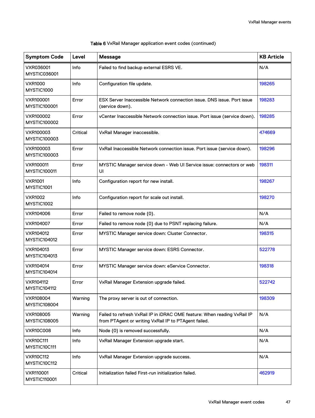| <b>Symptom Code</b>                     | Level    | <b>Message</b>                                                                                                                   | <b>KB Article</b> |
|-----------------------------------------|----------|----------------------------------------------------------------------------------------------------------------------------------|-------------------|
| VXR036001<br>MYSTIC036001               | Info     | Failed to find backup external ESRS VE.                                                                                          | N/A               |
| <b>VXR1000</b><br>MYSTIC1000            | Info     | Configuration file update.                                                                                                       | 198265            |
| VXR100001<br><b>MYSTIC100001</b>        | Error    | ESX Server Inaccessible Network connection issue. DNS issue. Port issue<br>(service down).                                       | 198283            |
| <b>VXR100002</b><br><b>MYSTIC100002</b> | Error    | vCenter Inaccessible Network connection issue. Port issue (service down).                                                        | 198285            |
| VXR100003<br>MYSTIC100003               | Critical | VxRail Manager inaccessible.                                                                                                     | 474669            |
| VXR100003<br>MYSTIC100003               | Error    | VxRail Inaccessible Network connection issue. Port issue (service down).                                                         | 198296            |
| <b>VXR100011</b><br><b>MYSTIC100011</b> | Error    | MYSTIC Manager service down - Web UI Service issue: connectors or web<br>UI                                                      | 198311            |
| VXR1001<br>MYSTIC1001                   | Info     | Configuration report for new install.                                                                                            | 198267            |
| <b>VXR1002</b><br>MYSTIC1002            | Info     | Configuration report for scale out install.                                                                                      | 198270            |
| VXR104006                               | Error    | Failed to remove node {0}.                                                                                                       | N/A               |
| VXR104007                               | Error    | Failed to remove node {0} due to PSNT replacing failure.                                                                         | N/A               |
| VXR104012<br><b>MYSTIC104012</b>        | Error    | MYSTIC Manager service down: Cluster Connector.                                                                                  | 198315            |
| VXR104013<br><b>MYSTIC104013</b>        | Error    | MYSTIC Manager service down: ESRS Connector.                                                                                     | 522778            |
| VXR104014<br><b>MYSTIC104014</b>        | Error    | MYSTIC Manager service down: eService Connector.                                                                                 | 198318            |
| VXR104112<br><b>MYSTIC104112</b>        | Error    | VxRail Manager Extension upgrade failed.                                                                                         | 522742            |
| VXR108004<br>MYSTIC108004               | Warning  | The proxy server is out of connection.                                                                                           | 198309            |
| VXR108005<br><b>MYSTIC108005</b>        | Warning  | Failed to refresh VxRail IP in iDRAC OME feature: When reading VxRail IP<br>from PTAgent or writing VxRail IP to PTAgent failed. | N/A               |
| <b>VXR10C008</b>                        | Info     | Node {0} is removed successfully.                                                                                                | N/A               |
| <b>VXR10C111</b><br>MYSTIC10C111        | Info     | VxRail Manager Extension upgrade start.                                                                                          | N/A               |
| <b>VXR10C112</b><br>MYSTIC10C112        | Info     | VxRail Manager Extension upgrade success.                                                                                        | N/A               |
| <b>VXR110001</b><br><b>MYSTIC110001</b> | Critical | Initialization failed First-run initialization failed.                                                                           | 462919            |

#### Table 6 VxRail Manager application event codes (continued)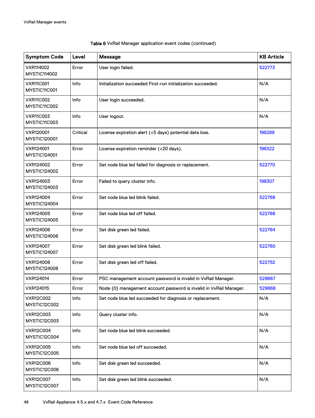| <b>Symptom Code</b>              | Level    | <b>Message</b>                                                     | <b>KB Article</b> |
|----------------------------------|----------|--------------------------------------------------------------------|-------------------|
| VXR114002<br>MYSTIC114002        | Error    | User login failed.                                                 | 522773            |
| <b>VXR11C001</b><br>MYSTIC11C001 | Info     | Initialization succeeded First-run initialization succeeded.       | N/A               |
| <b>VXR11C002</b><br>MYSTIC11C002 | Info     | User login succeeded.                                              | N/A               |
| <b>VXR11C003</b><br>MYSTIC11C003 | Info     | User logout.                                                       | N/A               |
| <b>VXR120001</b><br>MYSTIC120001 | Critical | License expiration alert (<5 days) potential data loss.            | 198289            |
| VXR124001<br>MYSTIC124001        | Error    | License expiration reminder (<20 days).                            | 198322            |
| VXR124002<br>MYSTIC124002        | Error    | Set node blue led failed for diagnosis or replacement.             | 522770            |
| VXR124003<br>MYSTIC124003        | Error    | Failed to query cluster info.                                      | 198307            |
| VXR124004<br><b>MYSTIC124004</b> | Error    | Set node blue led blink failed.                                    | 522768            |
| VXR124005<br>MYSTIC124005        | Error    | Set node blue led off failed.                                      | 522766            |
| VXR124006<br>MYSTIC124006        | Error    | Set disk green led failed.                                         | 522764            |
| VXR124007<br>MYSTIC124007        | Error    | Set disk green led blink failed.                                   | 522760            |
| VXR124008<br>MYSTIC124008        | Error    | Set disk green led off failed.                                     | 522752            |
| VXR124014                        | Error    | PSC management account password is invalid in VxRail Manager.      | 529667            |
| VXR124015                        | Error    | Node {0} management account password is invalid in VxRail Manager. | 529668            |
| <b>VXR12C002</b><br>MYSTIC12C002 | Info     | Set node blue led succeeded for diagnosis or replacement.          | N/A               |
| <b>VXR12C003</b><br>MYSTIC12C003 | Info     | Query cluster info.                                                | N/A               |
| <b>VXR12C004</b><br>MYSTIC12C004 | Info     | Set node blue led blink succeeded.                                 | N/A               |
| <b>VXR12C005</b><br>MYSTIC12C005 | Info     | Set node blue led off succeeded.                                   | N/A               |
| <b>VXR12C006</b><br>MYSTIC12C006 | Info     | Set disk green led succeeded.                                      | N/A               |
| <b>VXR12C007</b><br>MYSTIC12C007 | Info     | Set disk green led blink succeeded.                                | N/A               |

#### Table 6 VxRail Manager application event codes (continued)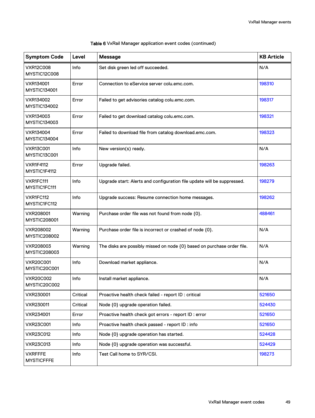| <b>Symptom Code</b>                 | Level    | <b>Message</b>                                                          | <b>KB Article</b> |
|-------------------------------------|----------|-------------------------------------------------------------------------|-------------------|
| <b>VXR12C008</b><br>MYSTIC12C008    | Info     | Set disk green led off succeeded.                                       | N/A               |
| VXR134001<br><b>MYSTIC134001</b>    | Error    | Connection to eService server colu.emc.com.                             | 198310            |
| VXR134002<br>MYSTIC134002           | Error    | Failed to get advisories catalog colu.emc.com.                          | 198317            |
| VXR134003<br>MYSTIC134003           | Error    | Failed to get download catalog colu.emc.com.                            | 198321            |
| VXR134004<br>MYSTIC134004           | Error    | Failed to download file from catalog download.emc.com.                  | 198323            |
| <b>VXR13C001</b><br>MYSTIC13C001    | Info     | New version(s) ready.                                                   | N/A               |
| <b>VXR1F4112</b><br>MYSTIC1F4112    | Error    | Upgrade failed.                                                         | 198263            |
| VXR1FC111<br>MYSTIC1FC111           | Info     | Upgrade start: Alerts and configuration file update will be suppressed. | 198279            |
| VXR1FC112<br>MYSTIC1FC112           | Info     | Upgrade success: Resume connection home messages.                       | 198262            |
| VXR208001<br>MYSTIC208001           | Warning  | Purchase order file was not found from node {0}.                        | 488461            |
| VXR208002<br><b>MYSTIC208002</b>    | Warning  | Purchase order file is incorrect or crashed of node {0}.                | N/A               |
| VXR208003<br><b>MYSTIC208003</b>    | Warning  | The disks are possibly missed on node {0} based on purchase order file. | N/A               |
| <b>VXR20C001</b><br>MYSTIC20C001    | Info     | Download market appliance.                                              | N/A               |
| <b>VXR20C002</b><br>MYSTIC20C002    | Info     | Install market appliance.                                               | N/A               |
| VXR230001                           | Critical | Proactive health check failed - report ID : critical                    | 521650            |
| VXR230011                           | Critical | Node {0} upgrade operation failed.                                      | 524430            |
| VXR234001                           | Error    | Proactive health check got errors - report ID : error                   | 521650            |
| <b>VXR23C001</b>                    | Info     | Proactive health check passed - report ID : info                        | 521650            |
| <b>VXR23C012</b>                    | Info     | Node {0} upgrade operation has started.                                 | 524428            |
| <b>VXR23C013</b>                    | Info     | Node {0} upgrade operation was successful.                              | 524429            |
| <b>VXRFFFE</b><br><b>MYSTICFFFE</b> | Info     | Test Call home to SYR/CSI.                                              | 198273            |

#### Table 6 VxRail Manager application event codes (continued)